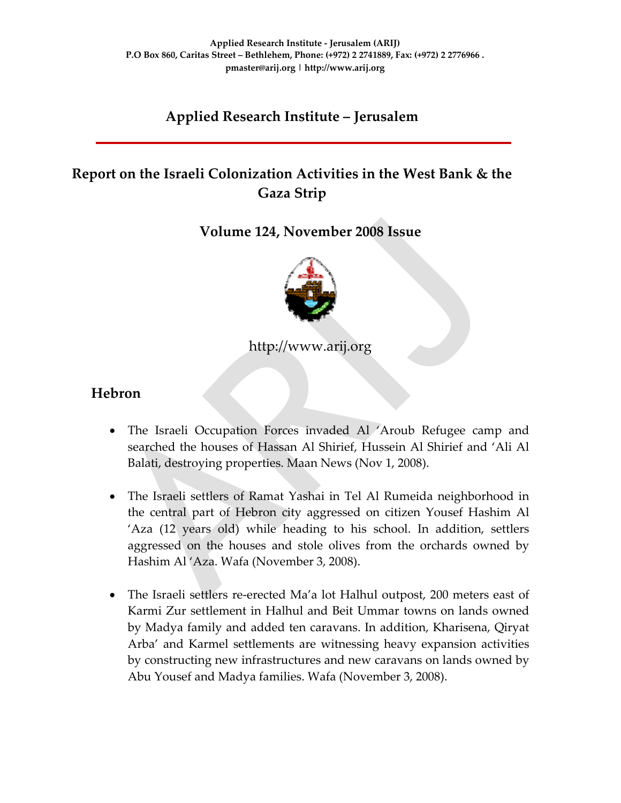## **Applied Research Institute – Jerusalem**

# **Report on the Israeli Colonization Activities in the West Bank & the Gaza Strip**

**Volume 124, November 2008 Issue** 



http://www.arij.org

#### **Hebron**

- The Israeli Occupation Forces invaded Al 'Aroub Refugee camp and searched the houses of Hassan Al Shirief, Hussein Al Shirief and 'Ali Al Balati, destroying properties. Maan News (Nov 1, 2008).
- The Israeli settlers of Ramat Yashai in Tel Al Rumeida neighborhood in the central part of Hebron city aggressed on citizen Yousef Hashim Al 'Aza (12 years old) while heading to his school. In addition, settlers aggressed on the houses and stole olives from the orchards owned by Hashim Al 'Aza. Wafa (November 3, 2008).
- The Israeli settlers re-erected Ma'a lot Halhul outpost, 200 meters east of Karmi Zur settlement in Halhul and Beit Ummar towns on lands owned by Madya family and added ten caravans. In addition, Kharisena, Qiryat Arba' and Karmel settlements are witnessing heavy expansion activities by constructing new infrastructures and new caravans on lands owned by Abu Yousef and Madya families. Wafa (November 3, 2008).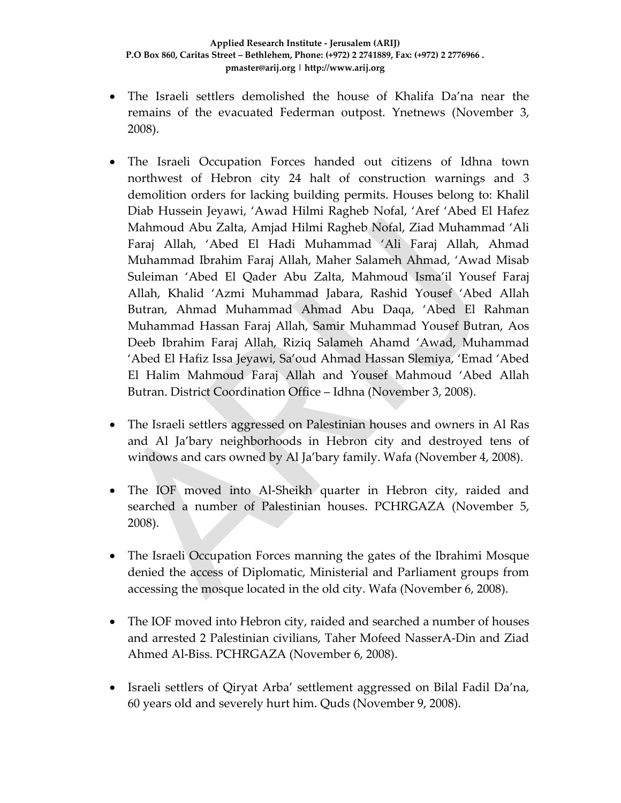- The Israeli settlers demolished the house of Khalifa Da'na near the remains of the evacuated Federman outpost. Ynetnews (November 3, 2008).
- The Israeli Occupation Forces handed out citizens of Idhna town northwest of Hebron city 24 halt of construction warnings and 3 demolition orders for lacking building permits. Houses belong to: Khalil Diab Hussein Jeyawi, 'Awad Hilmi Ragheb Nofal, 'Aref 'Abed El Hafez Mahmoud Abu Zalta, Amjad Hilmi Ragheb Nofal, Ziad Muhammad 'Ali Faraj Allah, 'Abed El Hadi Muhammad 'Ali Faraj Allah, Ahmad Muhammad Ibrahim Faraj Allah, Maher Salameh Ahmad, 'Awad Misab Suleiman 'Abed El Qader Abu Zalta, Mahmoud Isma'il Yousef Faraj Allah, Khalid 'Azmi Muhammad Jabara, Rashid Yousef 'Abed Allah Butran, Ahmad Muhammad Ahmad Abu Daqa, 'Abed El Rahman Muhammad Hassan Faraj Allah, Samir Muhammad Yousef Butran, Aos Deeb Ibrahim Faraj Allah, Riziq Salameh Ahamd 'Awad, Muhammad 'Abed El Hafiz Issa Jeyawi, Sa'oud Ahmad Hassan Slemiya, 'Emad 'Abed El Halim Mahmoud Faraj Allah and Yousef Mahmoud 'Abed Allah Butran. District Coordination Office – Idhna (November 3, 2008).
- The Israeli settlers aggressed on Palestinian houses and owners in Al Ras and Al Ja'bary neighborhoods in Hebron city and destroyed tens of windows and cars owned by Al Ja'bary family. Wafa (November 4, 2008).
- The IOF moved into Al-Sheikh quarter in Hebron city, raided and searched a number of Palestinian houses. PCHRGAZA (November 5, 2008).
- The Israeli Occupation Forces manning the gates of the Ibrahimi Mosque denied the access of Diplomatic, Ministerial and Parliament groups from accessing the mosque located in the old city. Wafa (November 6, 2008).
- The IOF moved into Hebron city, raided and searched a number of houses and arrested 2 Palestinian civilians, Taher Mofeed NasserA‐Din and Ziad Ahmed Al‐Biss. PCHRGAZA (November 6, 2008).
- Israeli settlers of Qiryat Arba' settlement aggressed on Bilal Fadil Da'na, 60 years old and severely hurt him. Quds (November 9, 2008).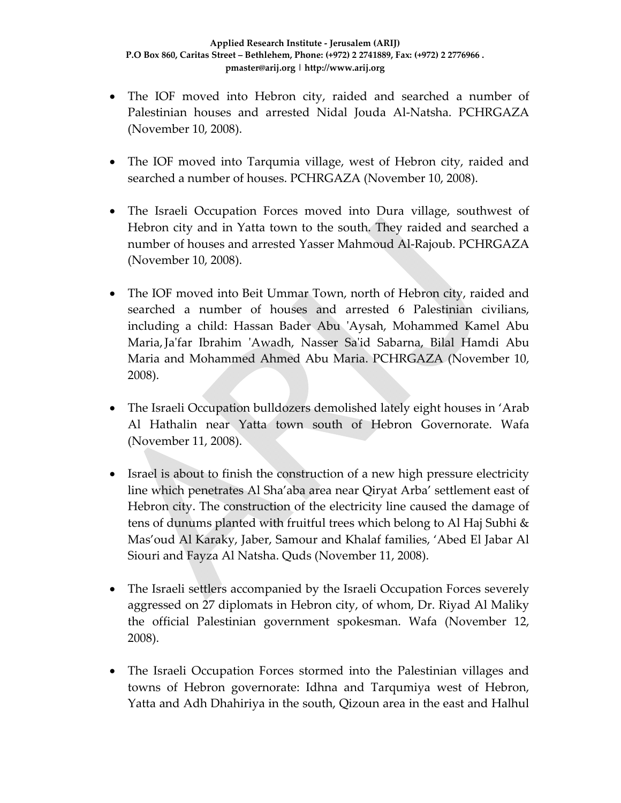- The IOF moved into Hebron city, raided and searched a number of Palestinian houses and arrested Nidal Jouda Al‐Natsha. PCHRGAZA (November 10, 2008).
- The IOF moved into Tarqumia village, west of Hebron city, raided and searched a number of houses. PCHRGAZA (November 10, 2008).
- The Israeli Occupation Forces moved into Dura village, southwest of Hebron city and in Yatta town to the south. They raided and searched a number of houses and arrested Yasser Mahmoud Al‐Rajoub. PCHRGAZA (November 10, 2008).
- The IOF moved into Beit Ummar Town, north of Hebron city, raided and searched a number of houses and arrested 6 Palestinian civilians, including a child: Hassan Bader Abu ʹAysah, Mohammed Kamel Abu Maria,Jaʹfar Ibrahim ʹAwadh, Nasser Saʹid Sabarna, Bilal Hamdi Abu Maria and Mohammed Ahmed Abu Maria. PCHRGAZA (November 10, 2008).
- The Israeli Occupation bulldozers demolished lately eight houses in 'Arab Al Hathalin near Yatta town south of Hebron Governorate. Wafa (November 11, 2008).
- Israel is about to finish the construction of a new high pressure electricity line which penetrates Al Sha'aba area near Qiryat Arba' settlement east of Hebron city. The construction of the electricity line caused the damage of tens of dunums planted with fruitful trees which belong to Al Haj Subhi & Mas'oud Al Karaky, Jaber, Samour and Khalaf families, 'Abed El Jabar Al Siouri and Fayza Al Natsha. Quds (November 11, 2008).
- The Israeli settlers accompanied by the Israeli Occupation Forces severely aggressed on 27 diplomats in Hebron city, of whom, Dr. Riyad Al Maliky the official Palestinian government spokesman. Wafa (November 12, 2008).
- The Israeli Occupation Forces stormed into the Palestinian villages and towns of Hebron governorate: Idhna and Tarqumiya west of Hebron, Yatta and Adh Dhahiriya in the south, Qizoun area in the east and Halhul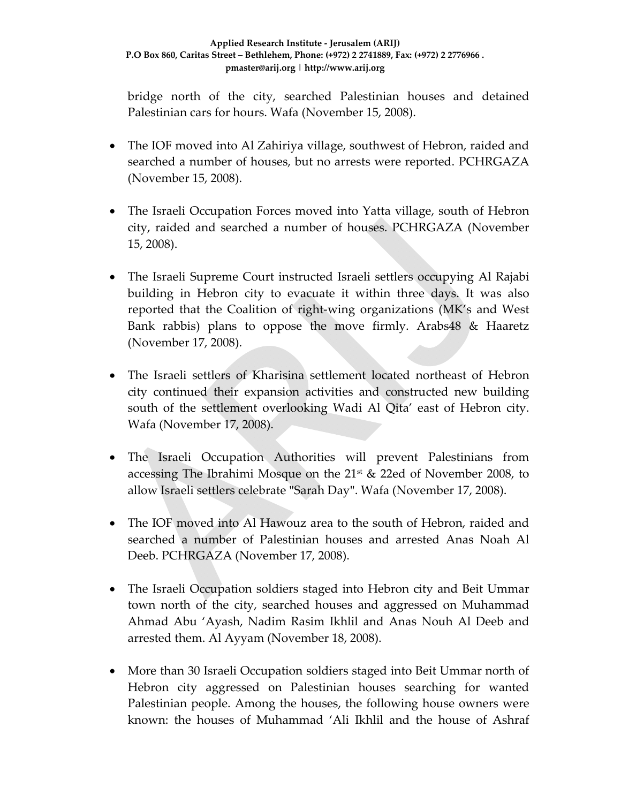#### **Applied Research Institute ‐ Jerusalem (ARIJ) P.O Box 860, Caritas Street – Bethlehem, Phone: (+972) 2 2741889, Fax: (+972) 2 2776966 . pmaster@arij.org | http://www.arij.org**

bridge north of the city, searched Palestinian houses and detained Palestinian cars for hours. Wafa (November 15, 2008).

- The IOF moved into Al Zahiriya village, southwest of Hebron, raided and searched a number of houses, but no arrests were reported. PCHRGAZA (November 15, 2008).
- The Israeli Occupation Forces moved into Yatta village, south of Hebron city, raided and searched a number of houses. PCHRGAZA (November 15, 2008).
- The Israeli Supreme Court instructed Israeli settlers occupying Al Rajabi building in Hebron city to evacuate it within three days. It was also reported that the Coalition of right‐wing organizations (MK's and West Bank rabbis) plans to oppose the move firmly. Arabs48 & Haaretz (November 17, 2008).
- The Israeli settlers of Kharisina settlement located northeast of Hebron city continued their expansion activities and constructed new building south of the settlement overlooking Wadi Al Qita' east of Hebron city. Wafa (November 17, 2008).
- The Israeli Occupation Authorities will prevent Palestinians from accessing The Ibrahimi Mosque on the  $21^{st}$  & 22ed of November 2008, to allow Israeli settlers celebrate "Sarah Day". Wafa (November 17, 2008).
- The IOF moved into Al Hawouz area to the south of Hebron, raided and searched a number of Palestinian houses and arrested Anas Noah Al Deeb. PCHRGAZA (November 17, 2008).
- The Israeli Occupation soldiers staged into Hebron city and Beit Ummar town north of the city, searched houses and aggressed on Muhammad Ahmad Abu 'Ayash, Nadim Rasim Ikhlil and Anas Nouh Al Deeb and arrested them. Al Ayyam (November 18, 2008).
- More than 30 Israeli Occupation soldiers staged into Beit Ummar north of Hebron city aggressed on Palestinian houses searching for wanted Palestinian people. Among the houses, the following house owners were known: the houses of Muhammad 'Ali Ikhlil and the house of Ashraf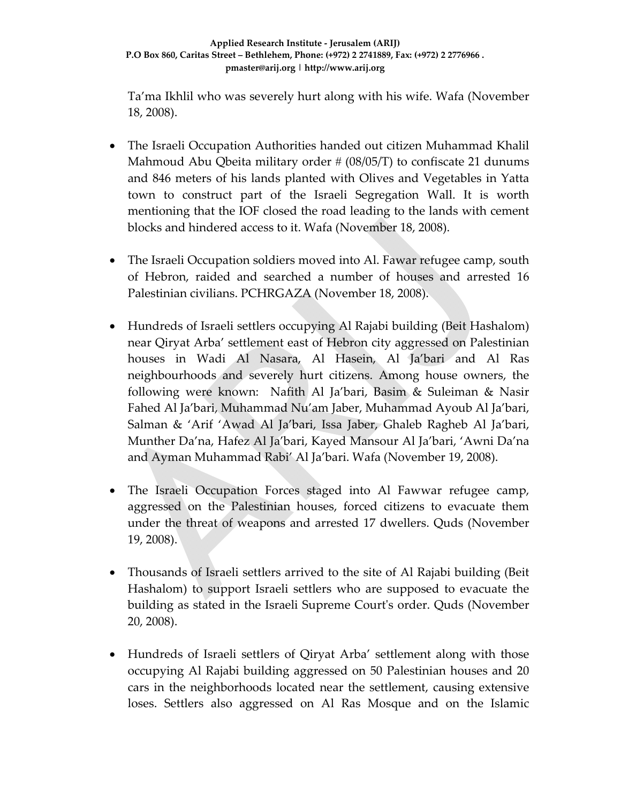Ta'ma Ikhlil who was severely hurt along with his wife. Wafa (November 18, 2008).

- The Israeli Occupation Authorities handed out citizen Muhammad Khalil Mahmoud Abu Qbeita military order  $\# (08/05/T)$  to confiscate 21 dunums and 846 meters of his lands planted with Olives and Vegetables in Yatta town to construct part of the Israeli Segregation Wall. It is worth mentioning that the IOF closed the road leading to the lands with cement blocks and hindered access to it. Wafa (November 18, 2008).
- The Israeli Occupation soldiers moved into Al. Fawar refugee camp, south of Hebron, raided and searched a number of houses and arrested 16 Palestinian civilians. PCHRGAZA (November 18, 2008).
- Hundreds of Israeli settlers occupying Al Rajabi building (Beit Hashalom) near Qiryat Arba' settlement east of Hebron city aggressed on Palestinian houses in Wadi Al Nasara, Al Hasein, Al Ja'bari and Al Ras neighbourhoods and severely hurt citizens. Among house owners, the following were known: Nafith Al Ja'bari, Basim & Suleiman & Nasir Fahed Al Ja'bari, Muhammad Nu'am Jaber, Muhammad Ayoub Al Ja'bari, Salman & 'Arif 'Awad Al Ja'bari, Issa Jaber, Ghaleb Ragheb Al Ja'bari, Munther Da'na, Hafez Al Ja'bari, Kayed Mansour Al Ja'bari, 'Awni Da'na and Ayman Muhammad Rabi' Al Ja'bari. Wafa (November 19, 2008).
- The Israeli Occupation Forces staged into Al Fawwar refugee camp, aggressed on the Palestinian houses, forced citizens to evacuate them under the threat of weapons and arrested 17 dwellers. Quds (November 19, 2008).
- Thousands of Israeli settlers arrived to the site of Al Rajabi building (Beit Hashalom) to support Israeli settlers who are supposed to evacuate the building as stated in the Israeli Supreme Courtʹs order. Quds (November 20, 2008).
- Hundreds of Israeli settlers of Qiryat Arba' settlement along with those occupying Al Rajabi building aggressed on 50 Palestinian houses and 20 cars in the neighborhoods located near the settlement, causing extensive loses. Settlers also aggressed on Al Ras Mosque and on the Islamic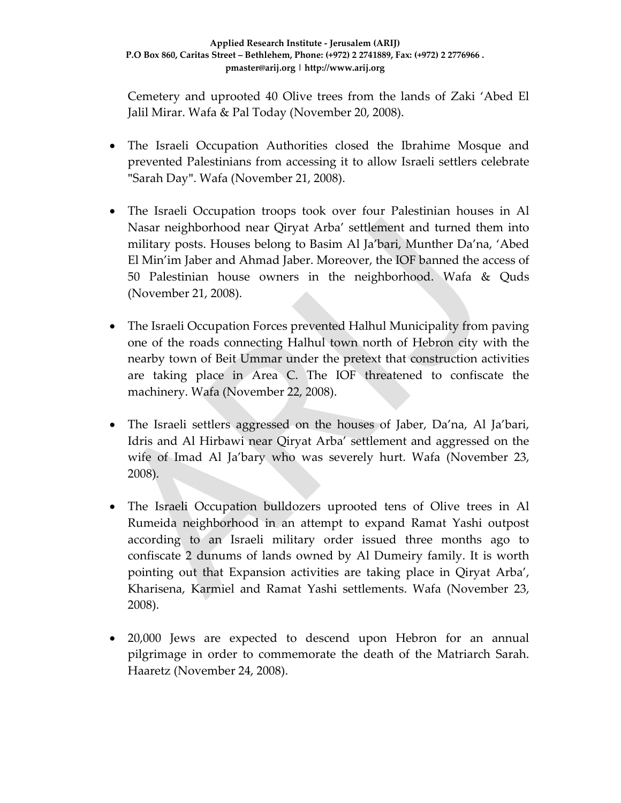Cemetery and uprooted 40 Olive trees from the lands of Zaki 'Abed El Jalil Mirar. Wafa & Pal Today (November 20, 2008).

- The Israeli Occupation Authorities closed the Ibrahime Mosque and prevented Palestinians from accessing it to allow Israeli settlers celebrate "Sarah Day". Wafa (November 21, 2008).
- The Israeli Occupation troops took over four Palestinian houses in Al Nasar neighborhood near Qiryat Arba' settlement and turned them into military posts. Houses belong to Basim Al Ja'bari, Munther Da'na, 'Abed El Min'im Jaber and Ahmad Jaber. Moreover, the IOF banned the access of 50 Palestinian house owners in the neighborhood. Wafa & Quds (November 21, 2008).
- The Israeli Occupation Forces prevented Halhul Municipality from paving one of the roads connecting Halhul town north of Hebron city with the nearby town of Beit Ummar under the pretext that construction activities are taking place in Area C. The IOF threatened to confiscate the machinery. Wafa (November 22, 2008).
- The Israeli settlers aggressed on the houses of Jaber, Da'na, Al Ja'bari, Idris and Al Hirbawi near Qiryat Arba' settlement and aggressed on the wife of Imad Al Ja'bary who was severely hurt. Wafa (November 23, 2008).
- The Israeli Occupation bulldozers uprooted tens of Olive trees in Al Rumeida neighborhood in an attempt to expand Ramat Yashi outpost according to an Israeli military order issued three months ago to confiscate 2 dunums of lands owned by Al Dumeiry family. It is worth pointing out that Expansion activities are taking place in Qiryat Arba', Kharisena, Karmiel and Ramat Yashi settlements. Wafa (November 23, 2008).
- 20,000 Jews are expected to descend upon Hebron for an annual pilgrimage in order to commemorate the death of the Matriarch Sarah. Haaretz (November 24, 2008).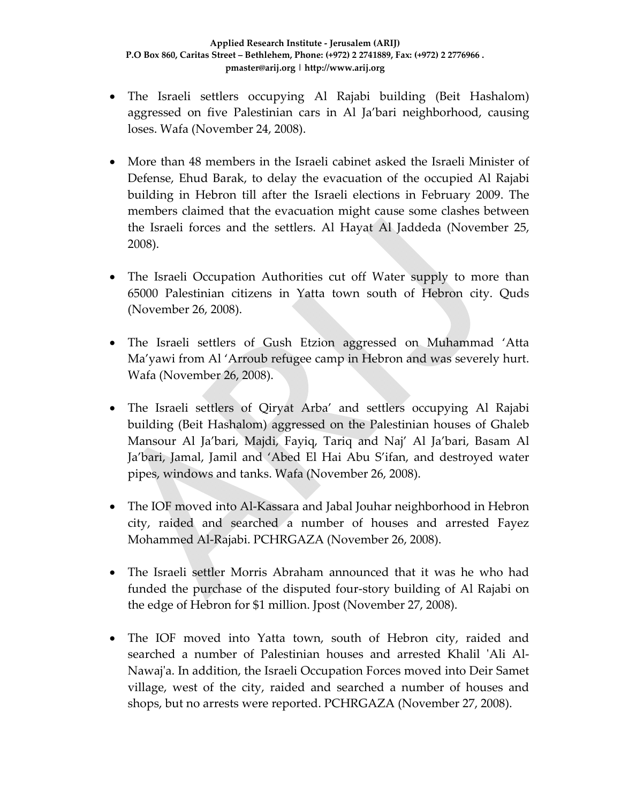- The Israeli settlers occupying Al Rajabi building (Beit Hashalom) aggressed on five Palestinian cars in Al Ja'bari neighborhood, causing loses. Wafa (November 24, 2008).
- More than 48 members in the Israeli cabinet asked the Israeli Minister of Defense, Ehud Barak, to delay the evacuation of the occupied Al Rajabi building in Hebron till after the Israeli elections in February 2009. The members claimed that the evacuation might cause some clashes between the Israeli forces and the settlers. Al Hayat Al Jaddeda (November 25, 2008).
- The Israeli Occupation Authorities cut off Water supply to more than 65000 Palestinian citizens in Yatta town south of Hebron city. Quds (November 26, 2008).
- The Israeli settlers of Gush Etzion aggressed on Muhammad 'Atta Ma'yawi from Al 'Arroub refugee camp in Hebron and was severely hurt. Wafa (November 26, 2008).
- The Israeli settlers of Qiryat Arba' and settlers occupying Al Rajabi building (Beit Hashalom) aggressed on the Palestinian houses of Ghaleb Mansour Al Ja'bari, Majdi, Fayiq, Tariq and Naj' Al Ja'bari, Basam Al Ja'bari, Jamal, Jamil and 'Abed El Hai Abu S'ifan, and destroyed water pipes, windows and tanks. Wafa (November 26, 2008).
- The IOF moved into Al-Kassara and Jabal Jouhar neighborhood in Hebron city, raided and searched a number of houses and arrested Fayez Mohammed Al‐Rajabi. PCHRGAZA (November 26, 2008).
- The Israeli settler Morris Abraham announced that it was he who had funded the purchase of the disputed four‐story building of Al Rajabi on the edge of Hebron for \$1 million. Jpost (November 27, 2008).
- The IOF moved into Yatta town, south of Hebron city, raided and searched a number of Palestinian houses and arrested Khalil 'Ali Al-Nawaj'a. In addition, the Israeli Occupation Forces moved into Deir Samet village, west of the city, raided and searched a number of houses and shops, but no arrests were reported. PCHRGAZA (November 27, 2008).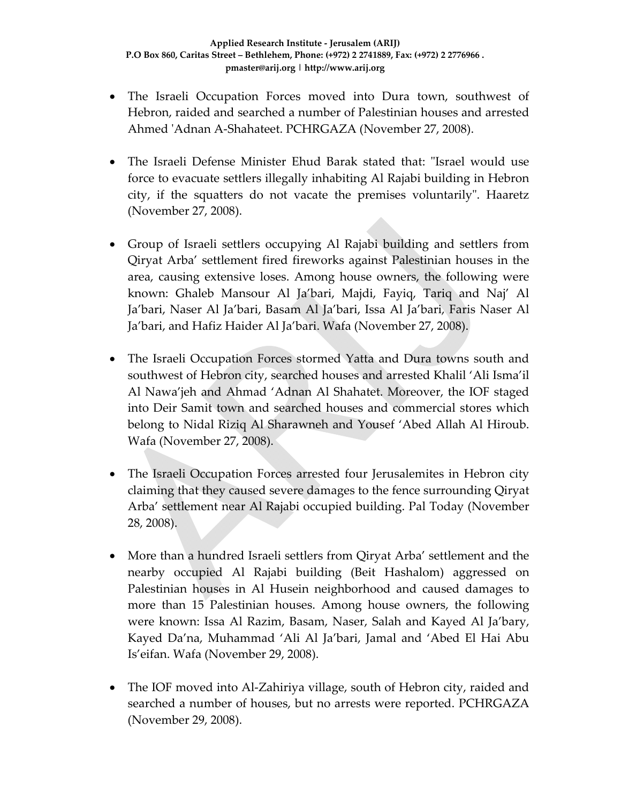- The Israeli Occupation Forces moved into Dura town, southwest of Hebron, raided and searched a number of Palestinian houses and arrested Ahmed ʹAdnan A‐Shahateet. PCHRGAZA (November 27, 2008).
- The Israeli Defense Minister Ehud Barak stated that: "Israel would use force to evacuate settlers illegally inhabiting Al Rajabi building in Hebron city, if the squatters do not vacate the premises voluntarily". Haaretz (November 27, 2008).
- Group of Israeli settlers occupying Al Rajabi building and settlers from Qiryat Arba' settlement fired fireworks against Palestinian houses in the area, causing extensive loses. Among house owners, the following were known: Ghaleb Mansour Al Ja'bari, Majdi, Fayiq, Tariq and Naj' Al Ja'bari, Naser Al Ja'bari, Basam Al Ja'bari, Issa Al Ja'bari, Faris Naser Al Ja'bari, and Hafiz Haider Al Ja'bari. Wafa (November 27, 2008).
- The Israeli Occupation Forces stormed Yatta and Dura towns south and southwest of Hebron city, searched houses and arrested Khalil 'Ali Isma'il Al Nawa'jeh and Ahmad 'Adnan Al Shahatet. Moreover, the IOF staged into Deir Samit town and searched houses and commercial stores which belong to Nidal Riziq Al Sharawneh and Yousef 'Abed Allah Al Hiroub. Wafa (November 27, 2008).
- The Israeli Occupation Forces arrested four Jerusalemites in Hebron city claiming that they caused severe damages to the fence surrounding Qiryat Arba' settlement near Al Rajabi occupied building. Pal Today (November 28, 2008).
- More than a hundred Israeli settlers from Qiryat Arba' settlement and the nearby occupied Al Rajabi building (Beit Hashalom) aggressed on Palestinian houses in Al Husein neighborhood and caused damages to more than 15 Palestinian houses. Among house owners, the following were known: Issa Al Razim, Basam, Naser, Salah and Kayed Al Ja'bary, Kayed Da'na, Muhammad 'Ali Al Ja'bari, Jamal and 'Abed El Hai Abu Is'eifan. Wafa (November 29, 2008).
- The IOF moved into Al-Zahiriya village, south of Hebron city, raided and searched a number of houses, but no arrests were reported. PCHRGAZA (November 29, 2008).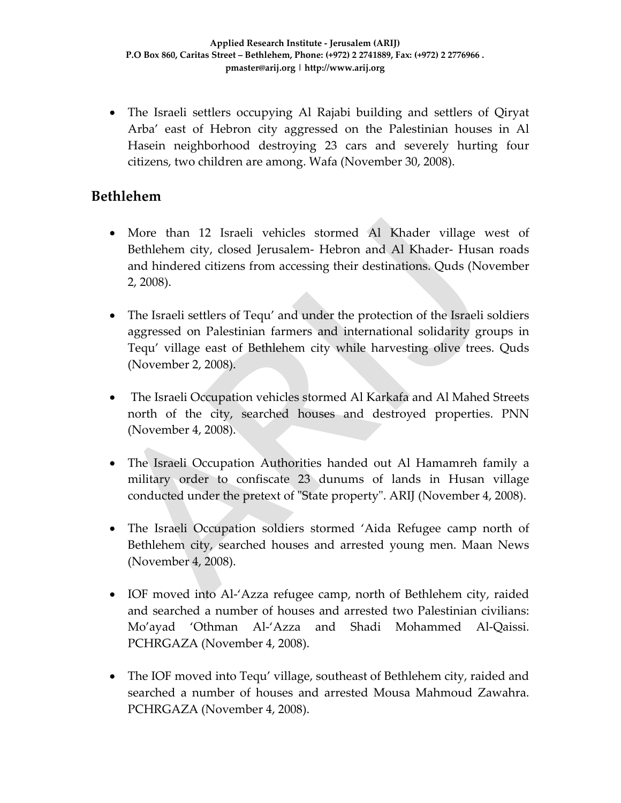• The Israeli settlers occupying Al Rajabi building and settlers of Qiryat Arba' east of Hebron city aggressed on the Palestinian houses in Al Hasein neighborhood destroying 23 cars and severely hurting four citizens, two children are among. Wafa (November 30, 2008).

#### **Bethlehem**

- More than 12 Israeli vehicles stormed Al Khader village west of Bethlehem city, closed Jerusalem‐ Hebron and Al Khader‐ Husan roads and hindered citizens from accessing their destinations. Quds (November 2, 2008).
- The Israeli settlers of Tequ' and under the protection of the Israeli soldiers aggressed on Palestinian farmers and international solidarity groups in Tequ' village east of Bethlehem city while harvesting olive trees. Quds (November 2, 2008).
- The Israeli Occupation vehicles stormed Al Karkafa and Al Mahed Streets north of the city, searched houses and destroyed properties. PNN (November 4, 2008).
- The Israeli Occupation Authorities handed out Al Hamamreh family a military order to confiscate 23 dunums of lands in Husan village conducted under the pretext of "State property". ARIJ (November 4, 2008).
- The Israeli Occupation soldiers stormed 'Aida Refugee camp north of Bethlehem city, searched houses and arrested young men. Maan News (November 4, 2008).
- IOF moved into Al-'Azza refugee camp, north of Bethlehem city, raided and searched a number of houses and arrested two Palestinian civilians: Mo'ayad 'Othman Al‐'Azza and Shadi Mohammed Al‐Qaissi. PCHRGAZA (November 4, 2008).
- The IOF moved into Tequ' village, southeast of Bethlehem city, raided and searched a number of houses and arrested Mousa Mahmoud Zawahra. PCHRGAZA (November 4, 2008).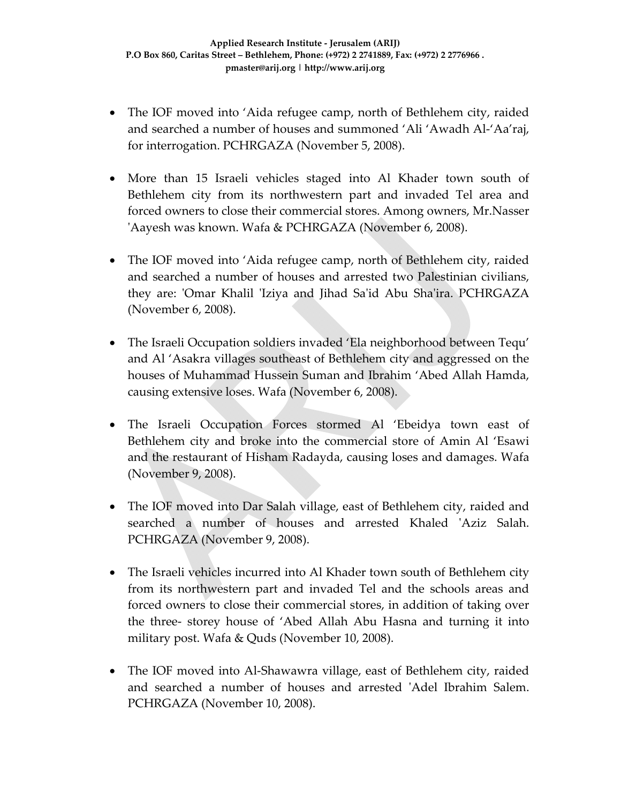- The IOF moved into 'Aida refugee camp, north of Bethlehem city, raided and searched a number of houses and summoned 'Ali 'Awadh Al‐'Aa'raj, for interrogation. PCHRGAZA (November 5, 2008).
- More than 15 Israeli vehicles staged into Al Khader town south of Bethlehem city from its northwestern part and invaded Tel area and forced owners to close their commercial stores. Among owners, Mr.Nasser ʹAayesh was known. Wafa & PCHRGAZA (November 6, 2008).
- The IOF moved into 'Aida refugee camp, north of Bethlehem city, raided and searched a number of houses and arrested two Palestinian civilians, they are: 'Omar Khalil 'Iziya and Jihad Sa'id Abu Sha'ira. PCHRGAZA (November 6, 2008).
- The Israeli Occupation soldiers invaded 'Ela neighborhood between Tequ' and Al 'Asakra villages southeast of Bethlehem city and aggressed on the houses of Muhammad Hussein Suman and Ibrahim 'Abed Allah Hamda, causing extensive loses. Wafa (November 6, 2008).
- The Israeli Occupation Forces stormed Al 'Ebeidya town east of Bethlehem city and broke into the commercial store of Amin Al 'Esawi and the restaurant of Hisham Radayda, causing loses and damages. Wafa (November 9, 2008).
- The IOF moved into Dar Salah village, east of Bethlehem city, raided and searched a number of houses and arrested Khaled 'Aziz Salah. PCHRGAZA (November 9, 2008).
- The Israeli vehicles incurred into Al Khader town south of Bethlehem city from its northwestern part and invaded Tel and the schools areas and forced owners to close their commercial stores, in addition of taking over the three‐ storey house of 'Abed Allah Abu Hasna and turning it into military post. Wafa & Quds (November 10, 2008).
- The IOF moved into Al-Shawawra village, east of Bethlehem city, raided and searched a number of houses and arrested ʹAdel Ibrahim Salem. PCHRGAZA (November 10, 2008).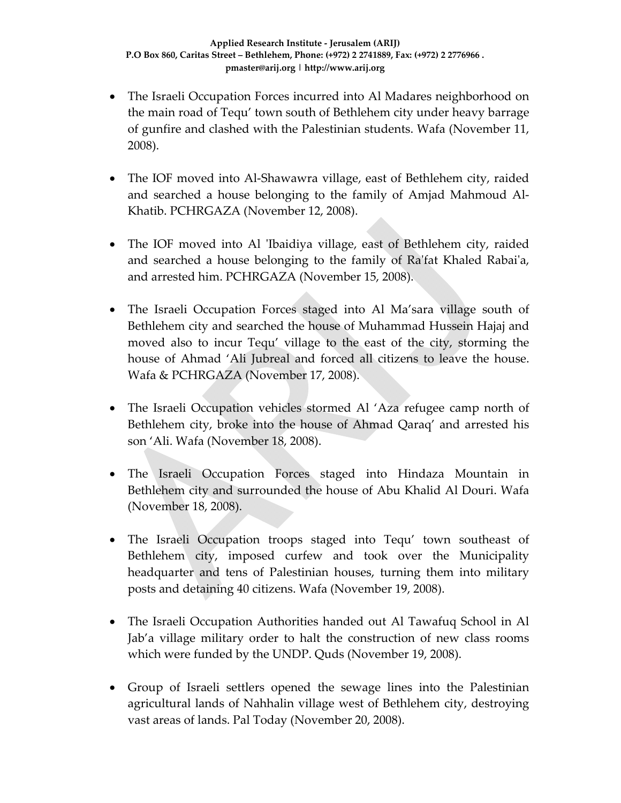- The Israeli Occupation Forces incurred into Al Madares neighborhood on the main road of Tequ' town south of Bethlehem city under heavy barrage of gunfire and clashed with the Palestinian students. Wafa (November 11, 2008).
- The IOF moved into Al-Shawawra village, east of Bethlehem city, raided and searched a house belonging to the family of Amjad Mahmoud Al‐ Khatib. PCHRGAZA (November 12, 2008).
- The IOF moved into Al 'Ibaidiya village, east of Bethlehem city, raided and searched a house belonging to the family of Raʹfat Khaled Rabaiʹa, and arrested him. PCHRGAZA (November 15, 2008).
- The Israeli Occupation Forces staged into Al Ma'sara village south of Bethlehem city and searched the house of Muhammad Hussein Hajaj and moved also to incur Tequ' village to the east of the city, storming the house of Ahmad 'Ali Jubreal and forced all citizens to leave the house. Wafa & PCHRGAZA (November 17, 2008).
- The Israeli Occupation vehicles stormed Al 'Aza refugee camp north of Bethlehem city, broke into the house of Ahmad Qaraq' and arrested his son 'Ali. Wafa (November 18, 2008).
- The Israeli Occupation Forces staged into Hindaza Mountain in Bethlehem city and surrounded the house of Abu Khalid Al Douri. Wafa (November 18, 2008).
- The Israeli Occupation troops staged into Tequ' town southeast of Bethlehem city, imposed curfew and took over the Municipality headquarter and tens of Palestinian houses, turning them into military posts and detaining 40 citizens. Wafa (November 19, 2008).
- The Israeli Occupation Authorities handed out Al Tawafuq School in Al Jab'a village military order to halt the construction of new class rooms which were funded by the UNDP. Quds (November 19, 2008).
- Group of Israeli settlers opened the sewage lines into the Palestinian agricultural lands of Nahhalin village west of Bethlehem city, destroying vast areas of lands. Pal Today (November 20, 2008).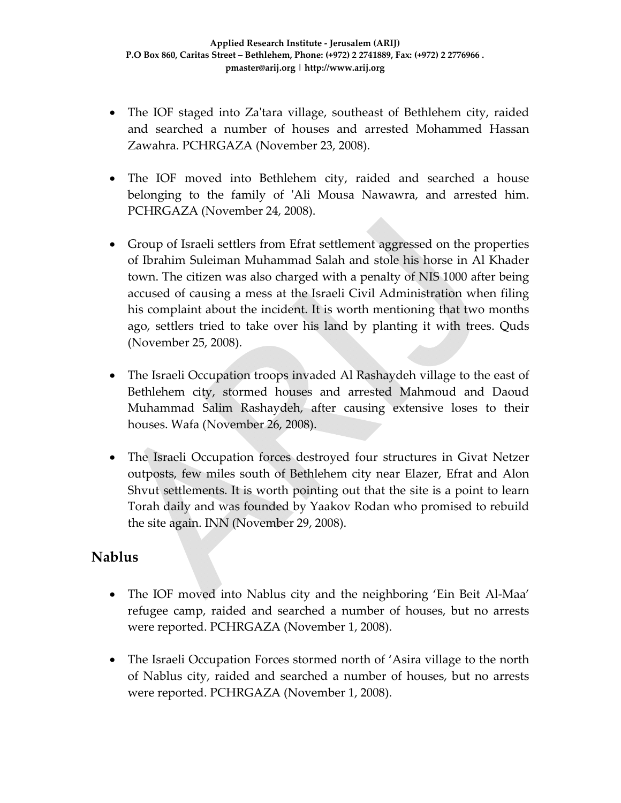- The IOF staged into Za'tara village, southeast of Bethlehem city, raided and searched a number of houses and arrested Mohammed Hassan Zawahra. PCHRGAZA (November 23, 2008).
- The IOF moved into Bethlehem city, raided and searched a house belonging to the family of 'Ali Mousa Nawawra, and arrested him. PCHRGAZA (November 24, 2008).
- Group of Israeli settlers from Efrat settlement aggressed on the properties of Ibrahim Suleiman Muhammad Salah and stole his horse in Al Khader town. The citizen was also charged with a penalty of NIS 1000 after being accused of causing a mess at the Israeli Civil Administration when filing his complaint about the incident. It is worth mentioning that two months ago, settlers tried to take over his land by planting it with trees. Quds (November 25, 2008).
- The Israeli Occupation troops invaded Al Rashaydeh village to the east of Bethlehem city, stormed houses and arrested Mahmoud and Daoud Muhammad Salim Rashaydeh, after causing extensive loses to their houses. Wafa (November 26, 2008).
- The Israeli Occupation forces destroyed four structures in Givat Netzer outposts, few miles south of Bethlehem city near Elazer, Efrat and Alon Shvut settlements. It is worth pointing out that the site is a point to learn Torah daily and was founded by Yaakov Rodan who promised to rebuild the site again. INN (November 29, 2008).

### **Nablus**

- The IOF moved into Nablus city and the neighboring 'Ein Beit Al-Maa' refugee camp, raided and searched a number of houses, but no arrests were reported. PCHRGAZA (November 1, 2008).
- The Israeli Occupation Forces stormed north of 'Asira village to the north of Nablus city, raided and searched a number of houses, but no arrests were reported. PCHRGAZA (November 1, 2008).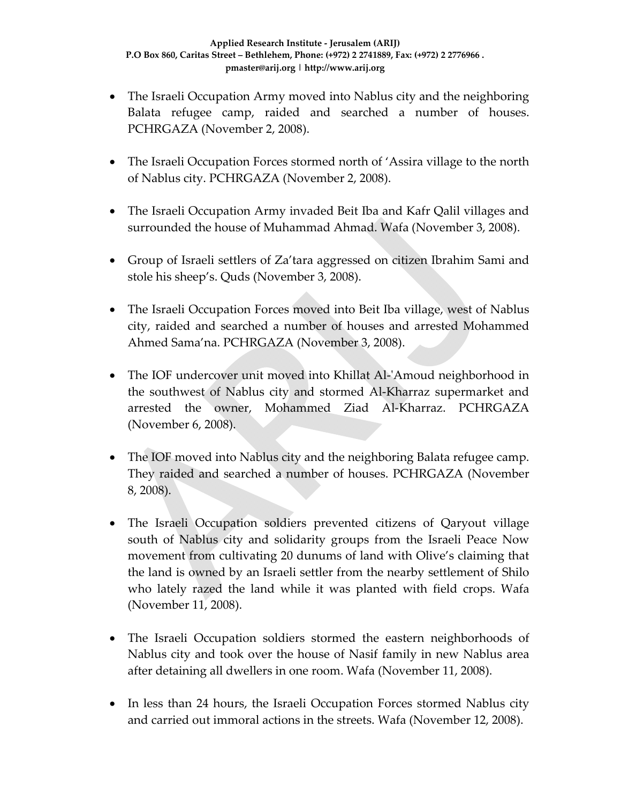- The Israeli Occupation Army moved into Nablus city and the neighboring Balata refugee camp, raided and searched a number of houses. PCHRGAZA (November 2, 2008).
- The Israeli Occupation Forces stormed north of 'Assira village to the north of Nablus city. PCHRGAZA (November 2, 2008).
- The Israeli Occupation Army invaded Beit Iba and Kafr Qalil villages and surrounded the house of Muhammad Ahmad. Wafa (November 3, 2008).
- Group of Israeli settlers of Za'tara aggressed on citizen Ibrahim Sami and stole his sheep's. Quds (November 3, 2008).
- The Israeli Occupation Forces moved into Beit Iba village, west of Nablus city, raided and searched a number of houses and arrested Mohammed Ahmed Sama'na. PCHRGAZA (November 3, 2008).
- The IOF undercover unit moved into Khillat Al-'Amoud neighborhood in the southwest of Nablus city and stormed Al‐Kharraz supermarket and arrested the owner, Mohammed Ziad Al‐Kharraz. PCHRGAZA (November 6, 2008).
- The IOF moved into Nablus city and the neighboring Balata refugee camp. They raided and searched a number of houses. PCHRGAZA (November 8, 2008).
- The Israeli Occupation soldiers prevented citizens of Qaryout village south of Nablus city and solidarity groups from the Israeli Peace Now movement from cultivating 20 dunums of land with Olive's claiming that the land is owned by an Israeli settler from the nearby settlement of Shilo who lately razed the land while it was planted with field crops. Wafa (November 11, 2008).
- The Israeli Occupation soldiers stormed the eastern neighborhoods of Nablus city and took over the house of Nasif family in new Nablus area after detaining all dwellers in one room. Wafa (November 11, 2008).
- In less than 24 hours, the Israeli Occupation Forces stormed Nablus city and carried out immoral actions in the streets. Wafa (November 12, 2008).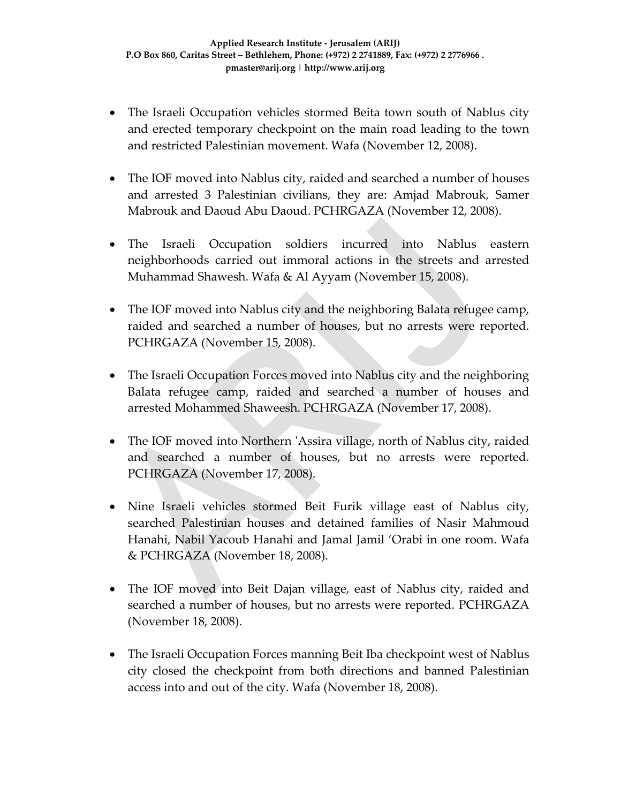- The Israeli Occupation vehicles stormed Beita town south of Nablus city and erected temporary checkpoint on the main road leading to the town and restricted Palestinian movement. Wafa (November 12, 2008).
- The IOF moved into Nablus city, raided and searched a number of houses and arrested 3 Palestinian civilians, they are: Amjad Mabrouk, Samer Mabrouk and Daoud Abu Daoud. PCHRGAZA (November 12, 2008).
- The Israeli Occupation soldiers incurred into Nablus eastern neighborhoods carried out immoral actions in the streets and arrested Muhammad Shawesh. Wafa & Al Ayyam (November 15, 2008).
- The IOF moved into Nablus city and the neighboring Balata refugee camp, raided and searched a number of houses, but no arrests were reported. PCHRGAZA (November 15, 2008).
- The Israeli Occupation Forces moved into Nablus city and the neighboring Balata refugee camp, raided and searched a number of houses and arrested Mohammed Shaweesh. PCHRGAZA (November 17, 2008).
- The IOF moved into Northern 'Assira village, north of Nablus city, raided and searched a number of houses, but no arrests were reported. PCHRGAZA (November 17, 2008).
- Nine Israeli vehicles stormed Beit Furik village east of Nablus city, searched Palestinian houses and detained families of Nasir Mahmoud Hanahi, Nabil Yacoub Hanahi and Jamal Jamil 'Orabi in one room. Wafa & PCHRGAZA (November 18, 2008).
- The IOF moved into Beit Dajan village, east of Nablus city, raided and searched a number of houses, but no arrests were reported. PCHRGAZA (November 18, 2008).
- The Israeli Occupation Forces manning Beit Iba checkpoint west of Nablus city closed the checkpoint from both directions and banned Palestinian access into and out of the city. Wafa (November 18, 2008).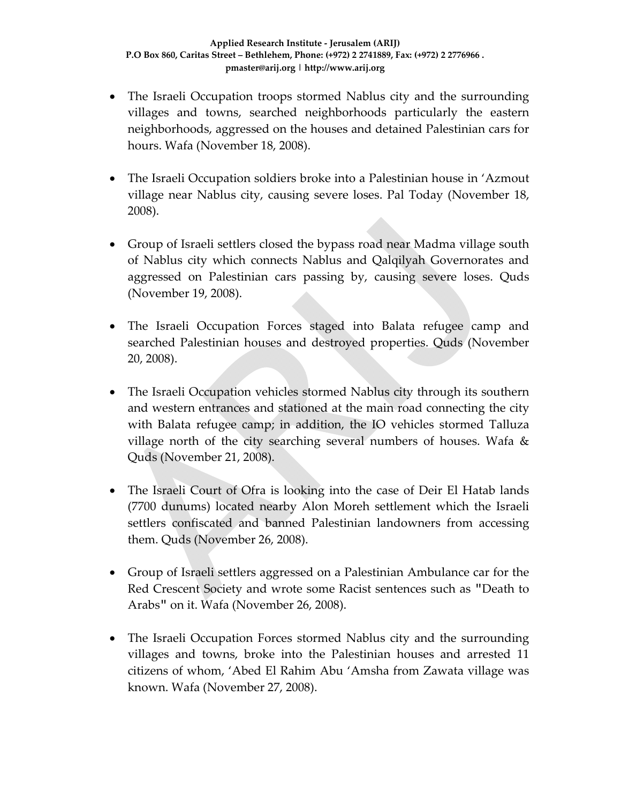- The Israeli Occupation troops stormed Nablus city and the surrounding villages and towns, searched neighborhoods particularly the eastern neighborhoods, aggressed on the houses and detained Palestinian cars for hours. Wafa (November 18, 2008).
- The Israeli Occupation soldiers broke into a Palestinian house in 'Azmout' village near Nablus city, causing severe loses. Pal Today (November 18, 2008).
- Group of Israeli settlers closed the bypass road near Madma village south of Nablus city which connects Nablus and Qalqilyah Governorates and aggressed on Palestinian cars passing by, causing severe loses. Quds (November 19, 2008).
- The Israeli Occupation Forces staged into Balata refugee camp and searched Palestinian houses and destroyed properties. Quds (November 20, 2008).
- The Israeli Occupation vehicles stormed Nablus city through its southern and western entrances and stationed at the main road connecting the city with Balata refugee camp; in addition, the IO vehicles stormed Talluza village north of the city searching several numbers of houses. Wafa & Quds (November 21, 2008).
- The Israeli Court of Ofra is looking into the case of Deir El Hatab lands (7700 dunums) located nearby Alon Moreh settlement which the Israeli settlers confiscated and banned Palestinian landowners from accessing them. Quds (November 26, 2008).
- Group of Israeli settlers aggressed on a Palestinian Ambulance car for the Red Crescent Society and wrote some Racist sentences such as "Death to Arabs" on it. Wafa (November 26, 2008).
- The Israeli Occupation Forces stormed Nablus city and the surrounding villages and towns, broke into the Palestinian houses and arrested 11 citizens of whom, 'Abed El Rahim Abu 'Amsha from Zawata village was known. Wafa (November 27, 2008).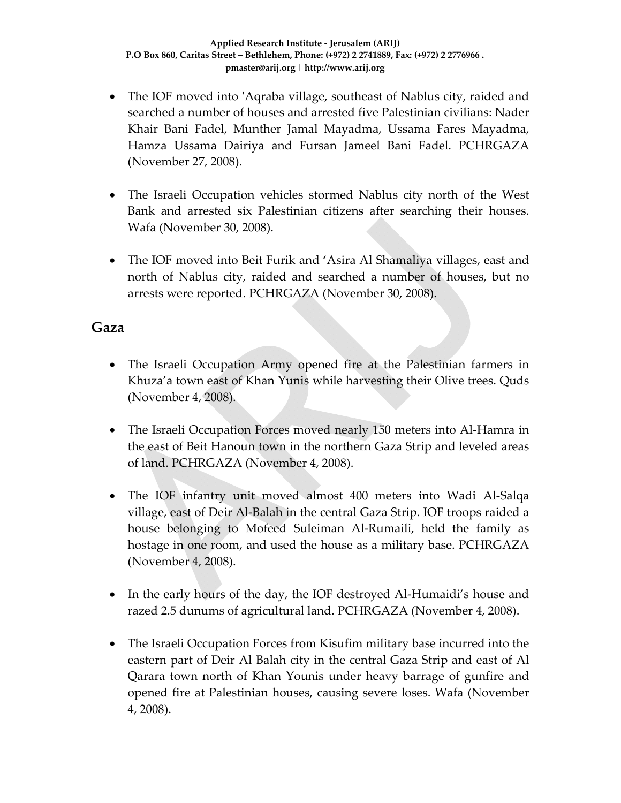- The IOF moved into 'Aqraba village, southeast of Nablus city, raided and searched a number of houses and arrested five Palestinian civilians: Nader Khair Bani Fadel, Munther Jamal Mayadma, Ussama Fares Mayadma, Hamza Ussama Dairiya and Fursan Jameel Bani Fadel. PCHRGAZA (November 27, 2008).
- The Israeli Occupation vehicles stormed Nablus city north of the West Bank and arrested six Palestinian citizens after searching their houses. Wafa (November 30, 2008).
- The IOF moved into Beit Furik and 'Asira Al Shamaliya villages, east and north of Nablus city, raided and searched a number of houses, but no arrests were reported. PCHRGAZA (November 30, 2008).

#### **Gaza**

- The Israeli Occupation Army opened fire at the Palestinian farmers in Khuza'a town east of Khan Yunis while harvesting their Olive trees. Quds (November 4, 2008).
- The Israeli Occupation Forces moved nearly 150 meters into Al-Hamra in the east of Beit Hanoun town in the northern Gaza Strip and leveled areas of land. PCHRGAZA (November 4, 2008).
- The IOF infantry unit moved almost 400 meters into Wadi Al-Salqa village, east of Deir Al‐Balah in the central Gaza Strip. IOF troops raided a house belonging to Mofeed Suleiman Al‐Rumaili, held the family as hostage in one room, and used the house as a military base. PCHRGAZA (November 4, 2008).
- In the early hours of the day, the IOF destroyed Al-Humaidi's house and razed 2.5 dunums of agricultural land. PCHRGAZA (November 4, 2008).
- The Israeli Occupation Forces from Kisufim military base incurred into the eastern part of Deir Al Balah city in the central Gaza Strip and east of Al Qarara town north of Khan Younis under heavy barrage of gunfire and opened fire at Palestinian houses, causing severe loses. Wafa (November 4, 2008).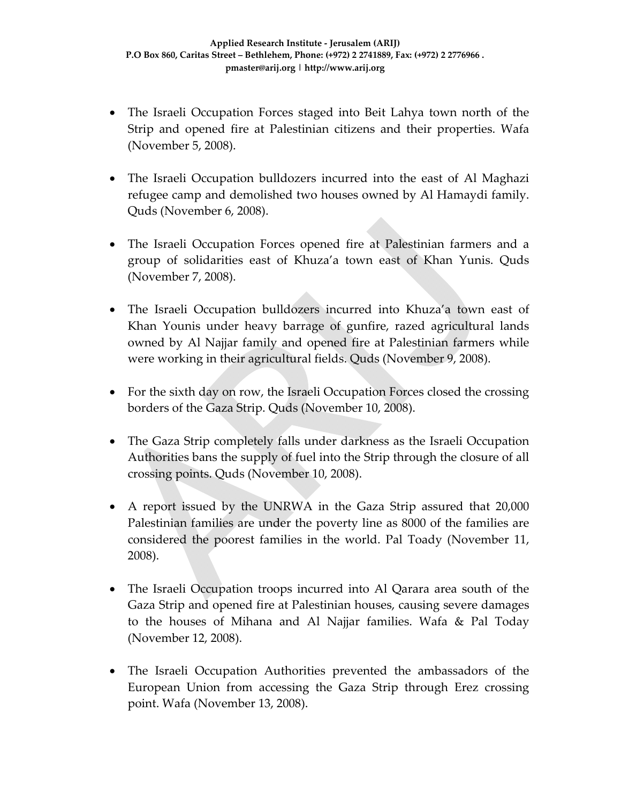- The Israeli Occupation Forces staged into Beit Lahya town north of the Strip and opened fire at Palestinian citizens and their properties. Wafa (November 5, 2008).
- The Israeli Occupation bulldozers incurred into the east of Al Maghazi refugee camp and demolished two houses owned by Al Hamaydi family. Quds (November 6, 2008).
- The Israeli Occupation Forces opened fire at Palestinian farmers and a group of solidarities east of Khuza'a town east of Khan Yunis. Quds (November 7, 2008).
- The Israeli Occupation bulldozers incurred into Khuza'a town east of Khan Younis under heavy barrage of gunfire, razed agricultural lands owned by Al Najjar family and opened fire at Palestinian farmers while were working in their agricultural fields. Quds (November 9, 2008).
- For the sixth day on row, the Israeli Occupation Forces closed the crossing borders of the Gaza Strip. Quds (November 10, 2008).
- The Gaza Strip completely falls under darkness as the Israeli Occupation Authorities bans the supply of fuel into the Strip through the closure of all crossing points. Quds (November 10, 2008).
- A report issued by the UNRWA in the Gaza Strip assured that 20,000 Palestinian families are under the poverty line as 8000 of the families are considered the poorest families in the world. Pal Toady (November 11, 2008).
- The Israeli Occupation troops incurred into Al Qarara area south of the Gaza Strip and opened fire at Palestinian houses, causing severe damages to the houses of Mihana and Al Najjar families. Wafa & Pal Today (November 12, 2008).
- The Israeli Occupation Authorities prevented the ambassadors of the European Union from accessing the Gaza Strip through Erez crossing point. Wafa (November 13, 2008).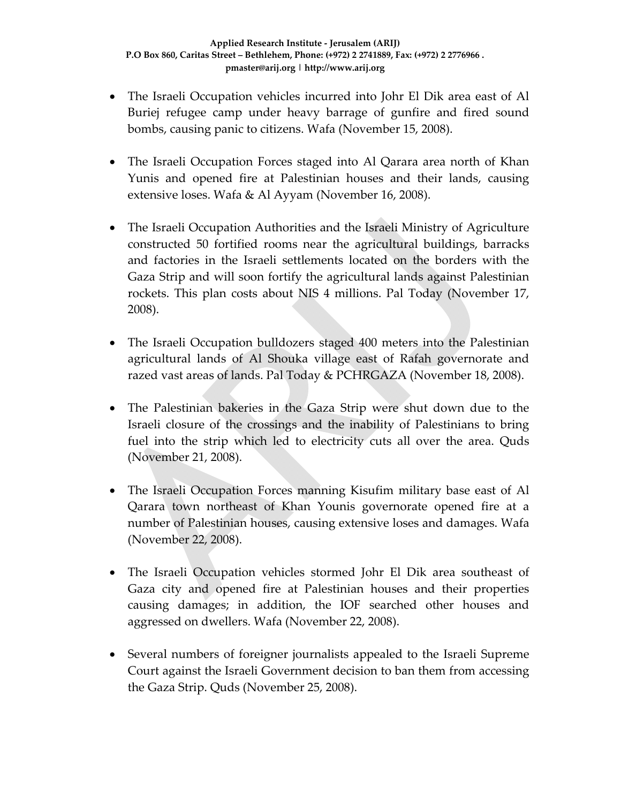- The Israeli Occupation vehicles incurred into Johr El Dik area east of Al Buriej refugee camp under heavy barrage of gunfire and fired sound bombs, causing panic to citizens. Wafa (November 15, 2008).
- The Israeli Occupation Forces staged into Al Qarara area north of Khan Yunis and opened fire at Palestinian houses and their lands, causing extensive loses. Wafa & Al Ayyam (November 16, 2008).
- The Israeli Occupation Authorities and the Israeli Ministry of Agriculture constructed 50 fortified rooms near the agricultural buildings, barracks and factories in the Israeli settlements located on the borders with the Gaza Strip and will soon fortify the agricultural lands against Palestinian rockets. This plan costs about NIS 4 millions. Pal Today (November 17, 2008).
- The Israeli Occupation bulldozers staged 400 meters into the Palestinian agricultural lands of Al Shouka village east of Rafah governorate and razed vast areas of lands. Pal Today & PCHRGAZA (November 18, 2008).
- The Palestinian bakeries in the Gaza Strip were shut down due to the Israeli closure of the crossings and the inability of Palestinians to bring fuel into the strip which led to electricity cuts all over the area. Quds (November 21, 2008).
- The Israeli Occupation Forces manning Kisufim military base east of Al Qarara town northeast of Khan Younis governorate opened fire at a number of Palestinian houses, causing extensive loses and damages. Wafa (November 22, 2008).
- The Israeli Occupation vehicles stormed Johr El Dik area southeast of Gaza city and opened fire at Palestinian houses and their properties causing damages; in addition, the IOF searched other houses and aggressed on dwellers. Wafa (November 22, 2008).
- Several numbers of foreigner journalists appealed to the Israeli Supreme Court against the Israeli Government decision to ban them from accessing the Gaza Strip. Quds (November 25, 2008).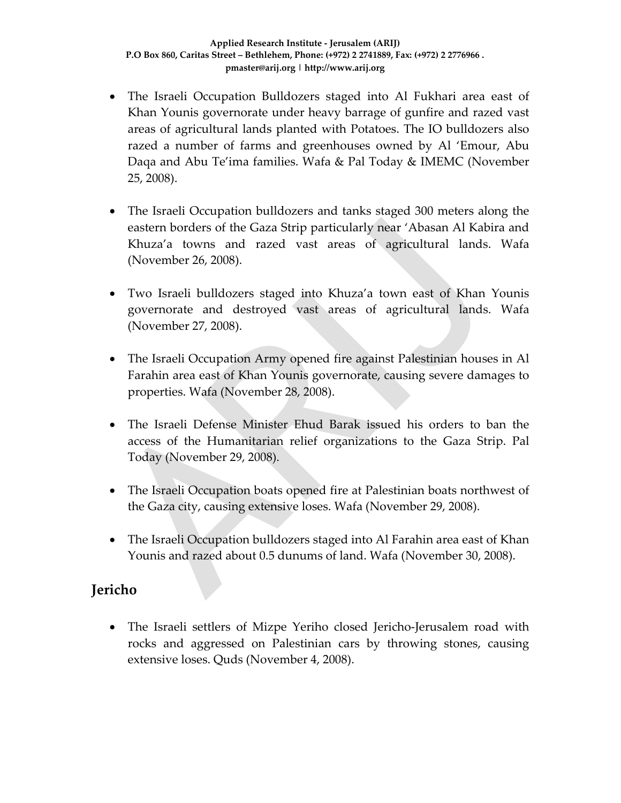- The Israeli Occupation Bulldozers staged into Al Fukhari area east of Khan Younis governorate under heavy barrage of gunfire and razed vast areas of agricultural lands planted with Potatoes. The IO bulldozers also razed a number of farms and greenhouses owned by Al 'Emour, Abu Daqa and Abu Te'ima families. Wafa & Pal Today & IMEMC (November 25, 2008).
- The Israeli Occupation bulldozers and tanks staged 300 meters along the eastern borders of the Gaza Strip particularly near 'Abasan Al Kabira and Khuza'a towns and razed vast areas of agricultural lands. Wafa (November 26, 2008).
- Two Israeli bulldozers staged into Khuza'a town east of Khan Younis governorate and destroyed vast areas of agricultural lands. Wafa (November 27, 2008).
- The Israeli Occupation Army opened fire against Palestinian houses in Al Farahin area east of Khan Younis governorate, causing severe damages to properties. Wafa (November 28, 2008).
- The Israeli Defense Minister Ehud Barak issued his orders to ban the access of the Humanitarian relief organizations to the Gaza Strip. Pal Today (November 29, 2008).
- The Israeli Occupation boats opened fire at Palestinian boats northwest of the Gaza city, causing extensive loses. Wafa (November 29, 2008).
- The Israeli Occupation bulldozers staged into Al Farahin area east of Khan Younis and razed about 0.5 dunums of land. Wafa (November 30, 2008).

### **Jericho**

• The Israeli settlers of Mizpe Yeriho closed Jericho-Jerusalem road with rocks and aggressed on Palestinian cars by throwing stones, causing extensive loses. Quds (November 4, 2008).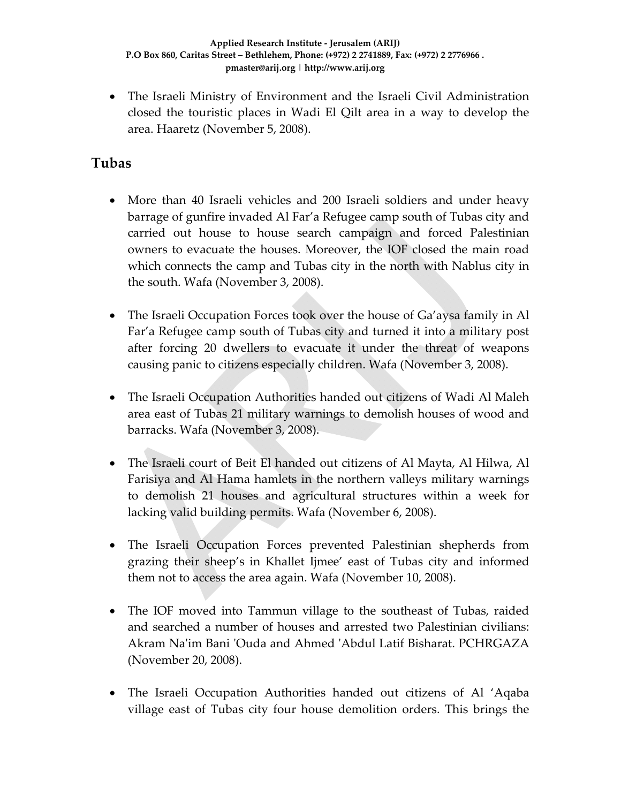• The Israeli Ministry of Environment and the Israeli Civil Administration closed the touristic places in Wadi El Qilt area in a way to develop the area. Haaretz (November 5, 2008).

## **Tubas**

- More than 40 Israeli vehicles and 200 Israeli soldiers and under heavy barrage of gunfire invaded Al Far'a Refugee camp south of Tubas city and carried out house to house search campaign and forced Palestinian owners to evacuate the houses. Moreover, the IOF closed the main road which connects the camp and Tubas city in the north with Nablus city in the south. Wafa (November 3, 2008).
- The Israeli Occupation Forces took over the house of Ga'aysa family in Al Far'a Refugee camp south of Tubas city and turned it into a military post after forcing 20 dwellers to evacuate it under the threat of weapons causing panic to citizens especially children. Wafa (November 3, 2008).
- The Israeli Occupation Authorities handed out citizens of Wadi Al Maleh area east of Tubas 21 military warnings to demolish houses of wood and barracks. Wafa (November 3, 2008).
- The Israeli court of Beit El handed out citizens of Al Mayta, Al Hilwa, Al Farisiya and Al Hama hamlets in the northern valleys military warnings to demolish 21 houses and agricultural structures within a week for lacking valid building permits. Wafa (November 6, 2008).
- The Israeli Occupation Forces prevented Palestinian shepherds from grazing their sheep's in Khallet Ijmee' east of Tubas city and informed them not to access the area again. Wafa (November 10, 2008).
- The IOF moved into Tammun village to the southeast of Tubas, raided and searched a number of houses and arrested two Palestinian civilians: Akram Naʹim Bani ʹOuda and Ahmed ʹAbdul Latif Bisharat. PCHRGAZA (November 20, 2008).
- The Israeli Occupation Authorities handed out citizens of Al 'Aqaba village east of Tubas city four house demolition orders. This brings the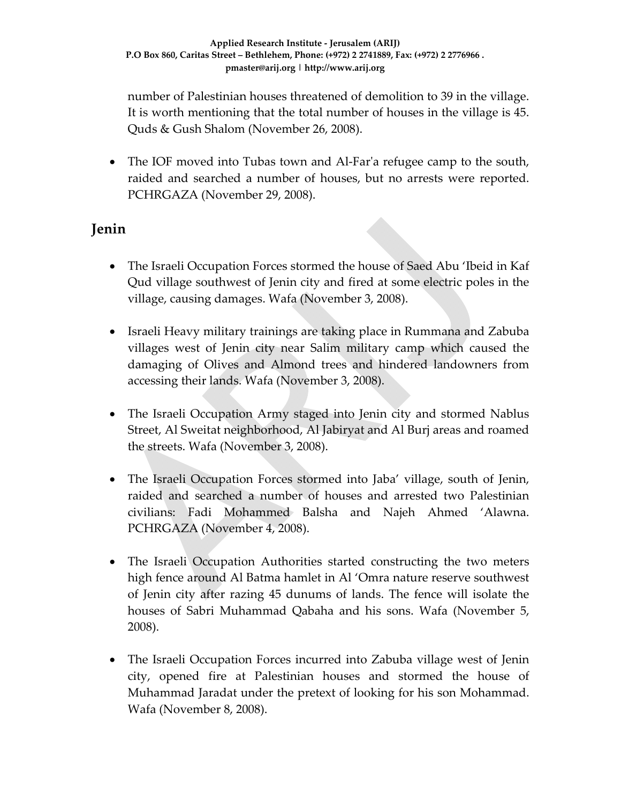number of Palestinian houses threatened of demolition to 39 in the village. It is worth mentioning that the total number of houses in the village is 45. Quds & Gush Shalom (November 26, 2008).

• The IOF moved into Tubas town and Al-Far'a refugee camp to the south, raided and searched a number of houses, but no arrests were reported. PCHRGAZA (November 29, 2008).

### **Jenin**

- The Israeli Occupation Forces stormed the house of Saed Abu 'Ibeid in Kaf Qud village southwest of Jenin city and fired at some electric poles in the village, causing damages. Wafa (November 3, 2008).
- Israeli Heavy military trainings are taking place in Rummana and Zabuba villages west of Jenin city near Salim military camp which caused the damaging of Olives and Almond trees and hindered landowners from accessing their lands. Wafa (November 3, 2008).
- The Israeli Occupation Army staged into Jenin city and stormed Nablus Street, Al Sweitat neighborhood, Al Jabiryat and Al Burj areas and roamed the streets. Wafa (November 3, 2008).
- The Israeli Occupation Forces stormed into Jaba' village, south of Jenin, raided and searched a number of houses and arrested two Palestinian civilians: Fadi Mohammed Balsha and Najeh Ahmed 'Alawna. PCHRGAZA (November 4, 2008).
- The Israeli Occupation Authorities started constructing the two meters high fence around Al Batma hamlet in Al 'Omra nature reserve southwest of Jenin city after razing 45 dunums of lands. The fence will isolate the houses of Sabri Muhammad Qabaha and his sons. Wafa (November 5, 2008).
- The Israeli Occupation Forces incurred into Zabuba village west of Jenin city, opened fire at Palestinian houses and stormed the house of Muhammad Jaradat under the pretext of looking for his son Mohammad. Wafa (November 8, 2008).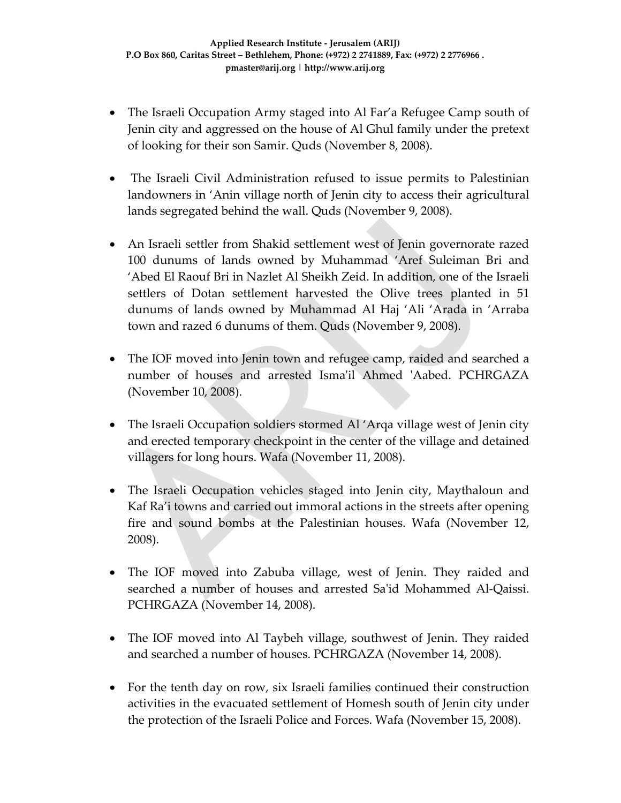- The Israeli Occupation Army staged into Al Far'a Refugee Camp south of Jenin city and aggressed on the house of Al Ghul family under the pretext of looking for their son Samir. Quds (November 8, 2008).
- The Israeli Civil Administration refused to issue permits to Palestinian landowners in 'Anin village north of Jenin city to access their agricultural lands segregated behind the wall. Quds (November 9, 2008).
- An Israeli settler from Shakid settlement west of Jenin governorate razed 100 dunums of lands owned by Muhammad 'Aref Suleiman Bri and 'Abed El Raouf Bri in Nazlet Al Sheikh Zeid. In addition, one of the Israeli settlers of Dotan settlement harvested the Olive trees planted in 51 dunums of lands owned by Muhammad Al Haj 'Ali 'Arada in 'Arraba town and razed 6 dunums of them. Quds (November 9, 2008).
- The IOF moved into Jenin town and refugee camp, raided and searched a number of houses and arrested Isma'il Ahmed 'Aabed. PCHRGAZA (November 10, 2008).
- The Israeli Occupation soldiers stormed Al 'Arqa village west of Jenin city and erected temporary checkpoint in the center of the village and detained villagers for long hours. Wafa (November 11, 2008).
- The Israeli Occupation vehicles staged into Jenin city, Maythaloun and Kaf Ra'i towns and carried out immoral actions in the streets after opening fire and sound bombs at the Palestinian houses. Wafa (November 12, 2008).
- The IOF moved into Zabuba village, west of Jenin. They raided and searched a number of houses and arrested Saʹid Mohammed Al‐Qaissi. PCHRGAZA (November 14, 2008).
- The IOF moved into Al Taybeh village, southwest of Jenin. They raided and searched a number of houses. PCHRGAZA (November 14, 2008).
- For the tenth day on row, six Israeli families continued their construction activities in the evacuated settlement of Homesh south of Jenin city under the protection of the Israeli Police and Forces. Wafa (November 15, 2008).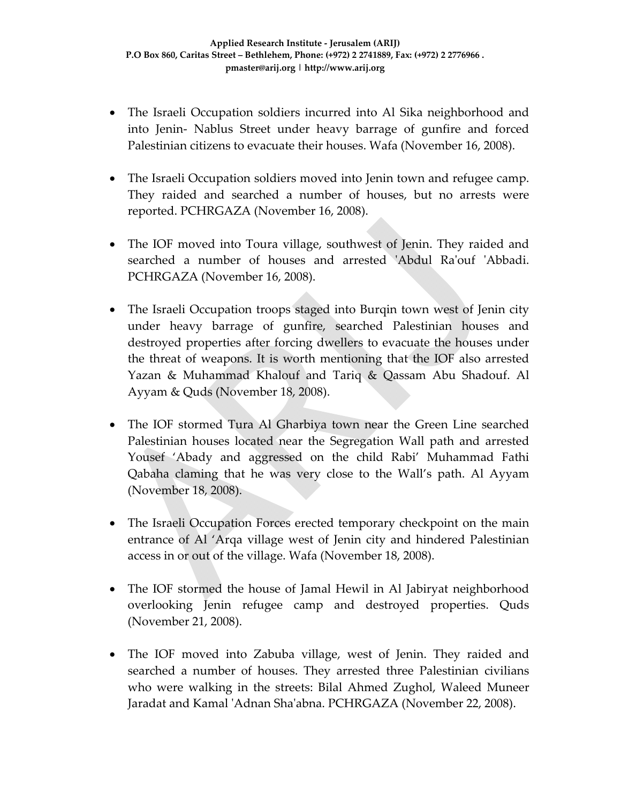- The Israeli Occupation soldiers incurred into Al Sika neighborhood and into Jenin‐ Nablus Street under heavy barrage of gunfire and forced Palestinian citizens to evacuate their houses. Wafa (November 16, 2008).
- The Israeli Occupation soldiers moved into Jenin town and refugee camp. They raided and searched a number of houses, but no arrests were reported. PCHRGAZA (November 16, 2008).
- The IOF moved into Toura village, southwest of Jenin. They raided and searched a number of houses and arrested 'Abdul Ra'ouf 'Abbadi. PCHRGAZA (November 16, 2008).
- The Israeli Occupation troops staged into Burqin town west of Jenin city under heavy barrage of gunfire, searched Palestinian houses and destroyed properties after forcing dwellers to evacuate the houses under the threat of weapons. It is worth mentioning that the IOF also arrested Yazan & Muhammad Khalouf and Tariq & Qassam Abu Shadouf. Al Ayyam & Quds (November 18, 2008).
- The IOF stormed Tura Al Gharbiya town near the Green Line searched Palestinian houses located near the Segregation Wall path and arrested Yousef 'Abady and aggressed on the child Rabi' Muhammad Fathi Qabaha claming that he was very close to the Wall's path. Al Ayyam (November 18, 2008).
- The Israeli Occupation Forces erected temporary checkpoint on the main entrance of Al 'Arqa village west of Jenin city and hindered Palestinian access in or out of the village. Wafa (November 18, 2008).
- The IOF stormed the house of Jamal Hewil in Al Jabiryat neighborhood overlooking Jenin refugee camp and destroyed properties. Quds (November 21, 2008).
- The IOF moved into Zabuba village, west of Jenin. They raided and searched a number of houses. They arrested three Palestinian civilians who were walking in the streets: Bilal Ahmed Zughol, Waleed Muneer Jaradat and Kamal ʹAdnan Shaʹabna. PCHRGAZA (November 22, 2008).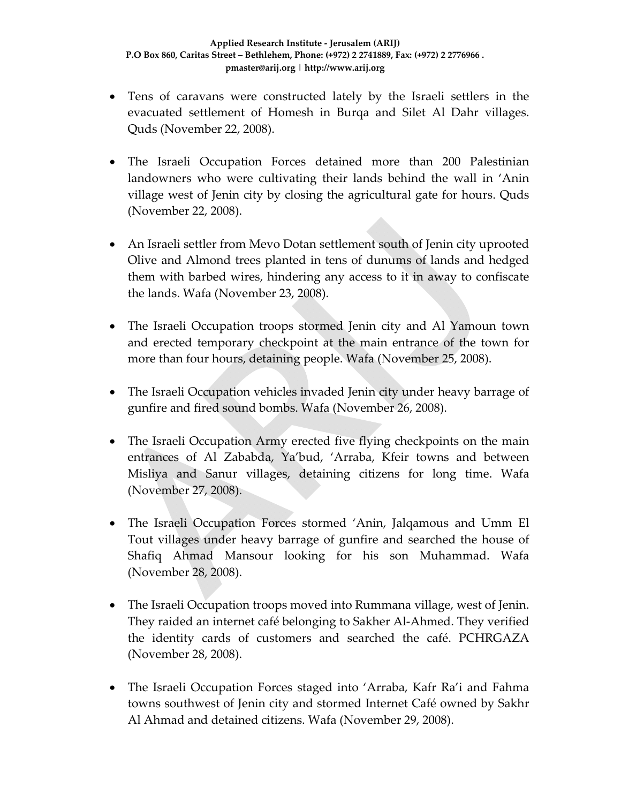- Tens of caravans were constructed lately by the Israeli settlers in the evacuated settlement of Homesh in Burqa and Silet Al Dahr villages. Quds (November 22, 2008).
- The Israeli Occupation Forces detained more than 200 Palestinian landowners who were cultivating their lands behind the wall in 'Anin village west of Jenin city by closing the agricultural gate for hours. Quds (November 22, 2008).
- An Israeli settler from Mevo Dotan settlement south of Jenin city uprooted Olive and Almond trees planted in tens of dunums of lands and hedged them with barbed wires, hindering any access to it in away to confiscate the lands. Wafa (November 23, 2008).
- The Israeli Occupation troops stormed Jenin city and Al Yamoun town and erected temporary checkpoint at the main entrance of the town for more than four hours, detaining people. Wafa (November 25, 2008).
- The Israeli Occupation vehicles invaded Jenin city under heavy barrage of gunfire and fired sound bombs. Wafa (November 26, 2008).
- The Israeli Occupation Army erected five flying checkpoints on the main entrances of Al Zababda, Ya'bud, 'Arraba, Kfeir towns and between Misliya and Sanur villages, detaining citizens for long time. Wafa (November 27, 2008).
- The Israeli Occupation Forces stormed 'Anin, Jalqamous and Umm El Tout villages under heavy barrage of gunfire and searched the house of Shafiq Ahmad Mansour looking for his son Muhammad. Wafa (November 28, 2008).
- The Israeli Occupation troops moved into Rummana village, west of Jenin. They raided an internet café belonging to Sakher Al‐Ahmed. They verified the identity cards of customers and searched the café. PCHRGAZA (November 28, 2008).
- The Israeli Occupation Forces staged into 'Arraba, Kafr Ra'i and Fahma towns southwest of Jenin city and stormed Internet Café owned by Sakhr Al Ahmad and detained citizens. Wafa (November 29, 2008).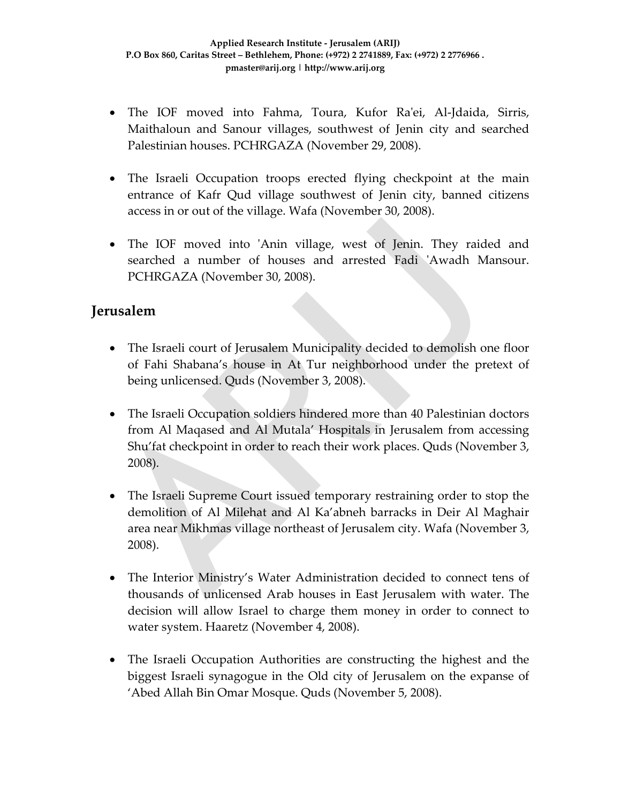- The IOF moved into Fahma, Toura, Kufor Ra'ei, Al-Jdaida, Sirris, Maithaloun and Sanour villages, southwest of Jenin city and searched Palestinian houses. PCHRGAZA (November 29, 2008).
- The Israeli Occupation troops erected flying checkpoint at the main entrance of Kafr Qud village southwest of Jenin city, banned citizens access in or out of the village. Wafa (November 30, 2008).
- The IOF moved into 'Anin village, west of Jenin. They raided and searched a number of houses and arrested Fadi 'Awadh Mansour. PCHRGAZA (November 30, 2008).

#### **Jerusalem**

- The Israeli court of Jerusalem Municipality decided to demolish one floor of Fahi Shabana's house in At Tur neighborhood under the pretext of being unlicensed. Quds (November 3, 2008).
- The Israeli Occupation soldiers hindered more than 40 Palestinian doctors from Al Maqased and Al Mutala' Hospitals in Jerusalem from accessing Shu'fat checkpoint in order to reach their work places. Quds (November 3, 2008).
- The Israeli Supreme Court issued temporary restraining order to stop the demolition of Al Milehat and Al Ka'abneh barracks in Deir Al Maghair area near Mikhmas village northeast of Jerusalem city. Wafa (November 3, 2008).
- The Interior Ministry's Water Administration decided to connect tens of thousands of unlicensed Arab houses in East Jerusalem with water. The decision will allow Israel to charge them money in order to connect to water system. Haaretz (November 4, 2008).
- The Israeli Occupation Authorities are constructing the highest and the biggest Israeli synagogue in the Old city of Jerusalem on the expanse of 'Abed Allah Bin Omar Mosque. Quds (November 5, 2008).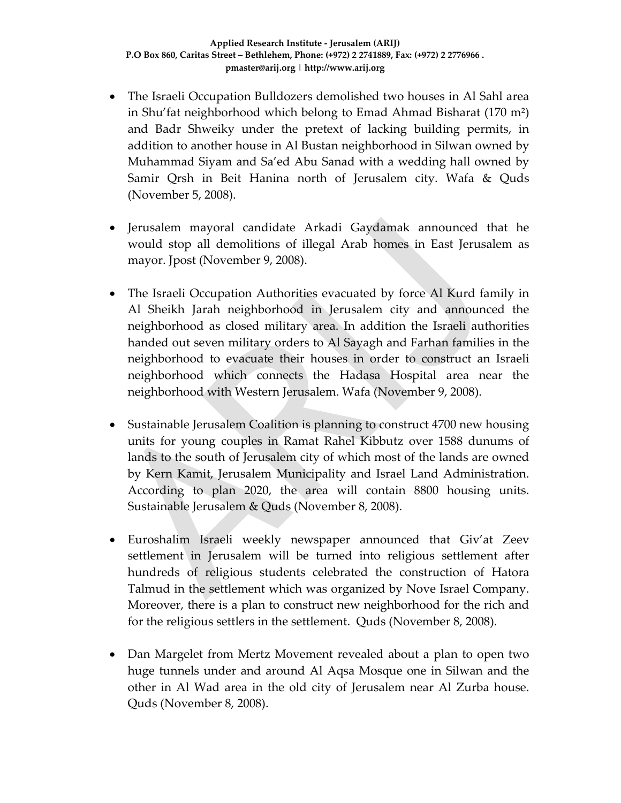- The Israeli Occupation Bulldozers demolished two houses in Al Sahl area in Shu'fat neighborhood which belong to Emad Ahmad Bisharat (170 m²) and Badr Shweiky under the pretext of lacking building permits, in addition to another house in Al Bustan neighborhood in Silwan owned by Muhammad Siyam and Sa'ed Abu Sanad with a wedding hall owned by Samir Qrsh in Beit Hanina north of Jerusalem city. Wafa & Quds (November 5, 2008).
- Jerusalem mayoral candidate Arkadi Gaydamak announced that he would stop all demolitions of illegal Arab homes in East Jerusalem as mayor. Jpost (November 9, 2008).
- The Israeli Occupation Authorities evacuated by force Al Kurd family in Al Sheikh Jarah neighborhood in Jerusalem city and announced the neighborhood as closed military area. In addition the Israeli authorities handed out seven military orders to Al Sayagh and Farhan families in the neighborhood to evacuate their houses in order to construct an Israeli neighborhood which connects the Hadasa Hospital area near the neighborhood with Western Jerusalem. Wafa (November 9, 2008).
- Sustainable Jerusalem Coalition is planning to construct 4700 new housing units for young couples in Ramat Rahel Kibbutz over 1588 dunums of lands to the south of Jerusalem city of which most of the lands are owned by Kern Kamit, Jerusalem Municipality and Israel Land Administration. According to plan 2020, the area will contain 8800 housing units. Sustainable Jerusalem & Quds (November 8, 2008).
- Euroshalim Israeli weekly newspaper announced that Giv'at Zeev settlement in Jerusalem will be turned into religious settlement after hundreds of religious students celebrated the construction of Hatora Talmud in the settlement which was organized by Nove Israel Company. Moreover, there is a plan to construct new neighborhood for the rich and for the religious settlers in the settlement. Quds (November 8, 2008).
- Dan Margelet from Mertz Movement revealed about a plan to open two huge tunnels under and around Al Aqsa Mosque one in Silwan and the other in Al Wad area in the old city of Jerusalem near Al Zurba house. Quds (November 8, 2008).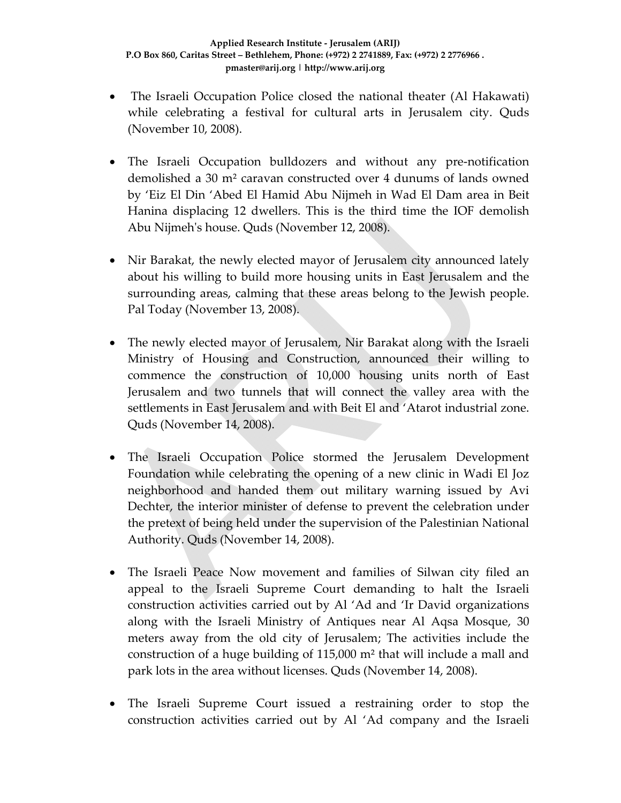- The Israeli Occupation Police closed the national theater (Al Hakawati) while celebrating a festival for cultural arts in Jerusalem city. Quds (November 10, 2008).
- The Israeli Occupation bulldozers and without any pre-notification demolished a 30 m² caravan constructed over 4 dunums of lands owned by 'Eiz El Din 'Abed El Hamid Abu Nijmeh in Wad El Dam area in Beit Hanina displacing 12 dwellers. This is the third time the IOF demolish Abu Nijmehʹs house. Quds (November 12, 2008).
- Nir Barakat, the newly elected mayor of Jerusalem city announced lately about his willing to build more housing units in East Jerusalem and the surrounding areas, calming that these areas belong to the Jewish people. Pal Today (November 13, 2008).
- The newly elected mayor of Jerusalem, Nir Barakat along with the Israeli Ministry of Housing and Construction, announced their willing to commence the construction of 10,000 housing units north of East Jerusalem and two tunnels that will connect the valley area with the settlements in East Jerusalem and with Beit El and 'Atarot industrial zone. Quds (November 14, 2008).
- The Israeli Occupation Police stormed the Jerusalem Development Foundation while celebrating the opening of a new clinic in Wadi El Joz neighborhood and handed them out military warning issued by Avi Dechter, the interior minister of defense to prevent the celebration under the pretext of being held under the supervision of the Palestinian National Authority. Quds (November 14, 2008).
- The Israeli Peace Now movement and families of Silwan city filed an appeal to the Israeli Supreme Court demanding to halt the Israeli construction activities carried out by Al 'Ad and 'Ir David organizations along with the Israeli Ministry of Antiques near Al Aqsa Mosque, 30 meters away from the old city of Jerusalem; The activities include the construction of a huge building of 115,000 m² that will include a mall and park lots in the area without licenses. Quds (November 14, 2008).
- The Israeli Supreme Court issued a restraining order to stop the construction activities carried out by Al 'Ad company and the Israeli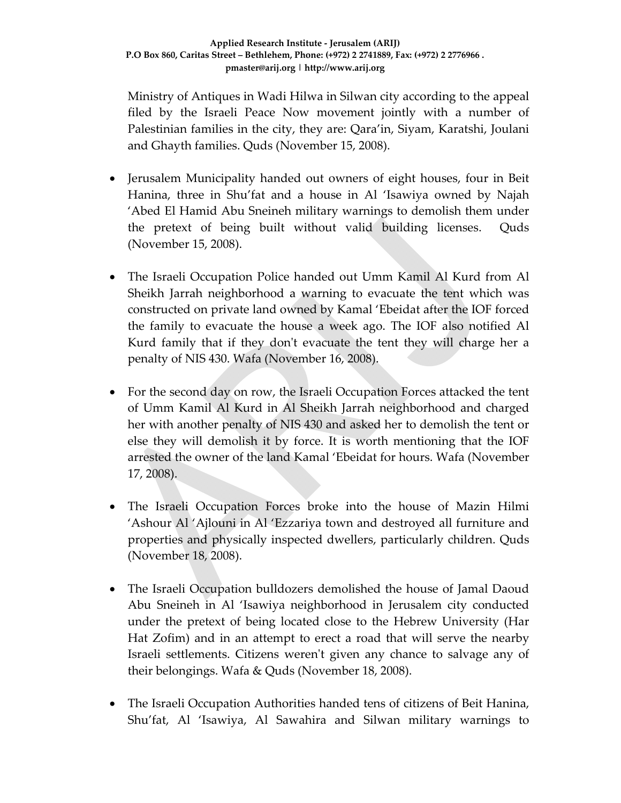Ministry of Antiques in Wadi Hilwa in Silwan city according to the appeal filed by the Israeli Peace Now movement jointly with a number of Palestinian families in the city, they are: Qara'in, Siyam, Karatshi, Joulani and Ghayth families. Quds (November 15, 2008).

- Jerusalem Municipality handed out owners of eight houses, four in Beit Hanina, three in Shu'fat and a house in Al 'Isawiya owned by Najah 'Abed El Hamid Abu Sneineh military warnings to demolish them under the pretext of being built without valid building licenses. Quds (November 15, 2008).
- The Israeli Occupation Police handed out Umm Kamil Al Kurd from Al Sheikh Jarrah neighborhood a warning to evacuate the tent which was constructed on private land owned by Kamal 'Ebeidat after the IOF forced the family to evacuate the house a week ago. The IOF also notified Al Kurd family that if they donʹt evacuate the tent they will charge her a penalty of NIS 430. Wafa (November 16, 2008).
- For the second day on row, the Israeli Occupation Forces attacked the tent of Umm Kamil Al Kurd in Al Sheikh Jarrah neighborhood and charged her with another penalty of NIS 430 and asked her to demolish the tent or else they will demolish it by force. It is worth mentioning that the IOF arrested the owner of the land Kamal 'Ebeidat for hours. Wafa (November 17, 2008).
- The Israeli Occupation Forces broke into the house of Mazin Hilmi 'Ashour Al 'Ajlouni in Al 'Ezzariya town and destroyed all furniture and properties and physically inspected dwellers, particularly children. Quds (November 18, 2008).
- The Israeli Occupation bulldozers demolished the house of Jamal Daoud Abu Sneineh in Al 'Isawiya neighborhood in Jerusalem city conducted under the pretext of being located close to the Hebrew University (Har Hat Zofim) and in an attempt to erect a road that will serve the nearby Israeli settlements. Citizens werenʹt given any chance to salvage any of their belongings. Wafa & Quds (November 18, 2008).
- The Israeli Occupation Authorities handed tens of citizens of Beit Hanina, Shu'fat, Al 'Isawiya, Al Sawahira and Silwan military warnings to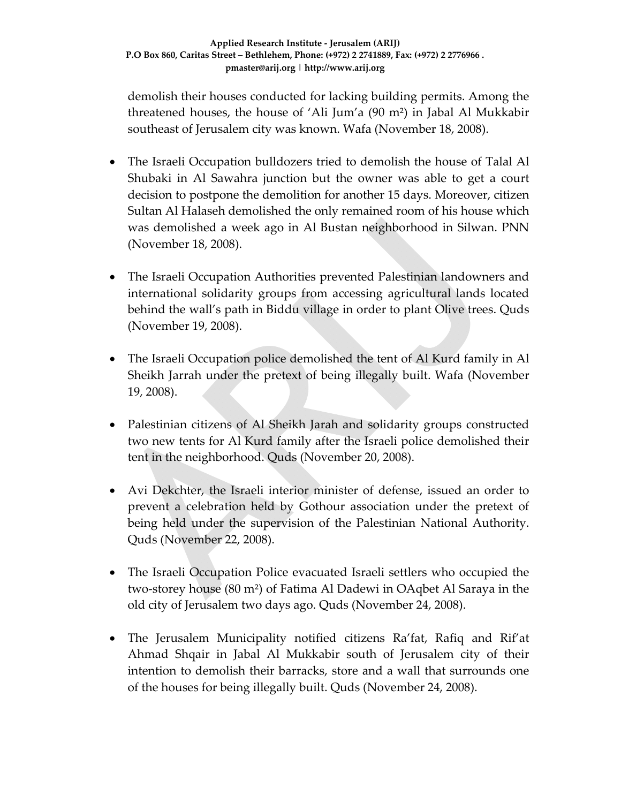demolish their houses conducted for lacking building permits. Among the threatened houses, the house of 'Ali Jum'a (90 m²) in Jabal Al Mukkabir southeast of Jerusalem city was known. Wafa (November 18, 2008).

- The Israeli Occupation bulldozers tried to demolish the house of Talal Al Shubaki in Al Sawahra junction but the owner was able to get a court decision to postpone the demolition for another 15 days. Moreover, citizen Sultan Al Halaseh demolished the only remained room of his house which was demolished a week ago in Al Bustan neighborhood in Silwan. PNN (November 18, 2008).
- The Israeli Occupation Authorities prevented Palestinian landowners and international solidarity groups from accessing agricultural lands located behind the wall's path in Biddu village in order to plant Olive trees. Quds (November 19, 2008).
- The Israeli Occupation police demolished the tent of Al Kurd family in Al Sheikh Jarrah under the pretext of being illegally built. Wafa (November 19, 2008).
- Palestinian citizens of Al Sheikh Jarah and solidarity groups constructed two new tents for Al Kurd family after the Israeli police demolished their tent in the neighborhood. Quds (November 20, 2008).
- Avi Dekchter, the Israeli interior minister of defense, issued an order to prevent a celebration held by Gothour association under the pretext of being held under the supervision of the Palestinian National Authority. Quds (November 22, 2008).
- The Israeli Occupation Police evacuated Israeli settlers who occupied the two‐storey house (80 m²) of Fatima Al Dadewi in OAqbet Al Saraya in the old city of Jerusalem two days ago. Quds (November 24, 2008).
- The Jerusalem Municipality notified citizens Ra'fat, Rafiq and Rif'at Ahmad Shqair in Jabal Al Mukkabir south of Jerusalem city of their intention to demolish their barracks, store and a wall that surrounds one of the houses for being illegally built. Quds (November 24, 2008).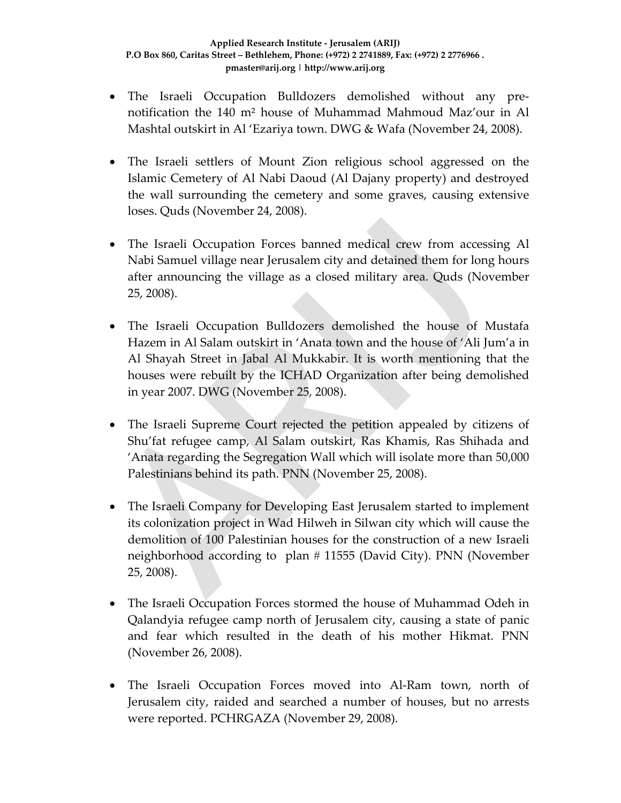- The Israeli Occupation Bulldozers demolished without any pre‐ notification the 140 m² house of Muhammad Mahmoud Maz'our in Al Mashtal outskirt in Al 'Ezariya town. DWG & Wafa (November 24, 2008).
- The Israeli settlers of Mount Zion religious school aggressed on the Islamic Cemetery of Al Nabi Daoud (Al Dajany property) and destroyed the wall surrounding the cemetery and some graves, causing extensive loses. Quds (November 24, 2008).
- The Israeli Occupation Forces banned medical crew from accessing Al Nabi Samuel village near Jerusalem city and detained them for long hours after announcing the village as a closed military area. Quds (November 25, 2008).
- The Israeli Occupation Bulldozers demolished the house of Mustafa Hazem in Al Salam outskirt in 'Anata town and the house of 'Ali Jum'a in Al Shayah Street in Jabal Al Mukkabir. It is worth mentioning that the houses were rebuilt by the ICHAD Organization after being demolished in year 2007. DWG (November 25, 2008).
- The Israeli Supreme Court rejected the petition appealed by citizens of Shu'fat refugee camp, Al Salam outskirt, Ras Khamis, Ras Shihada and 'Anata regarding the Segregation Wall which will isolate more than 50,000 Palestinians behind its path. PNN (November 25, 2008).
- The Israeli Company for Developing East Jerusalem started to implement its colonization project in Wad Hilweh in Silwan city which will cause the demolition of 100 Palestinian houses for the construction of a new Israeli neighborhood according to plan # 11555 (David City). PNN (November 25, 2008).
- The Israeli Occupation Forces stormed the house of Muhammad Odeh in Qalandyia refugee camp north of Jerusalem city, causing a state of panic and fear which resulted in the death of his mother Hikmat. PNN (November 26, 2008).
- The Israeli Occupation Forces moved into Al‐Ram town, north of Jerusalem city, raided and searched a number of houses, but no arrests were reported. PCHRGAZA (November 29, 2008).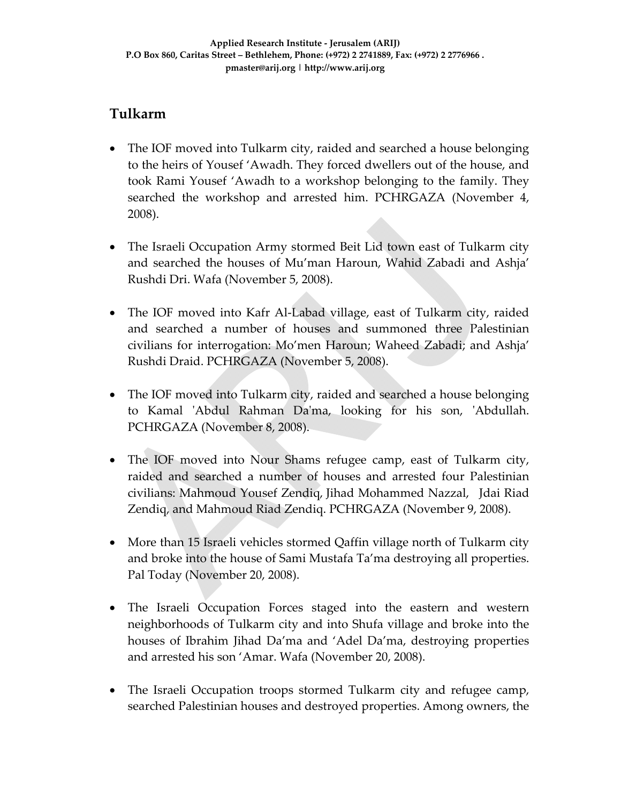## **Tulkarm**

- The IOF moved into Tulkarm city, raided and searched a house belonging to the heirs of Yousef 'Awadh. They forced dwellers out of the house, and took Rami Yousef 'Awadh to a workshop belonging to the family. They searched the workshop and arrested him. PCHRGAZA (November 4, 2008).
- The Israeli Occupation Army stormed Beit Lid town east of Tulkarm city and searched the houses of Mu'man Haroun, Wahid Zabadi and Ashja' Rushdi Dri. Wafa (November 5, 2008).
- The IOF moved into Kafr Al-Labad village, east of Tulkarm city, raided and searched a number of houses and summoned three Palestinian civilians for interrogation: Mo'men Haroun; Waheed Zabadi; and Ashja' Rushdi Draid. PCHRGAZA (November 5, 2008).
- The IOF moved into Tulkarm city, raided and searched a house belonging to Kamal ʹAbdul Rahman Daʹma, looking for his son, ʹAbdullah. PCHRGAZA (November 8, 2008).
- The IOF moved into Nour Shams refugee camp, east of Tulkarm city, raided and searched a number of houses and arrested four Palestinian civilians: Mahmoud Yousef Zendiq, Jihad Mohammed Nazzal, Jdai Riad Zendiq, and Mahmoud Riad Zendiq. PCHRGAZA (November 9, 2008).
- More than 15 Israeli vehicles stormed Qaffin village north of Tulkarm city and broke into the house of Sami Mustafa Ta'ma destroying all properties. Pal Today (November 20, 2008).
- The Israeli Occupation Forces staged into the eastern and western neighborhoods of Tulkarm city and into Shufa village and broke into the houses of Ibrahim Jihad Da'ma and 'Adel Da'ma, destroying properties and arrested his son 'Amar. Wafa (November 20, 2008).
- The Israeli Occupation troops stormed Tulkarm city and refugee camp, searched Palestinian houses and destroyed properties. Among owners, the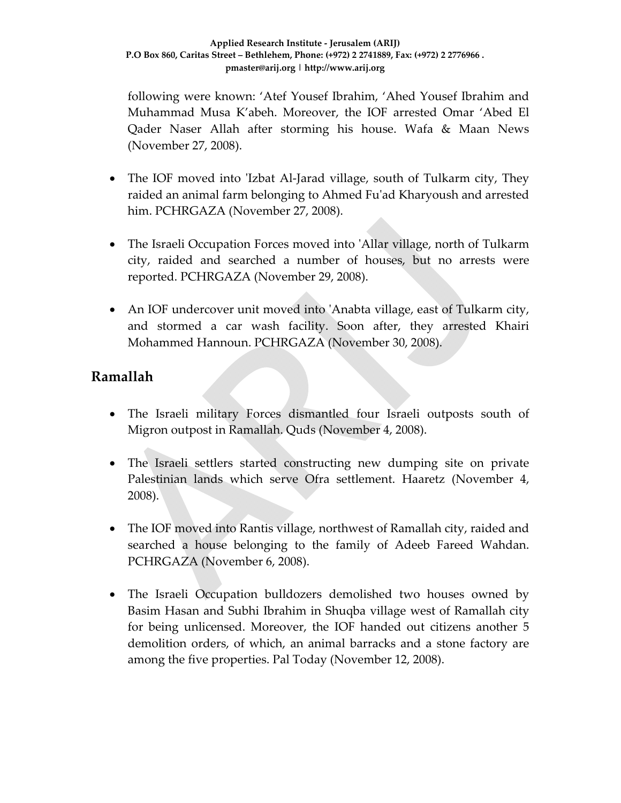following were known: 'Atef Yousef Ibrahim, 'Ahed Yousef Ibrahim and Muhammad Musa K'abeh. Moreover, the IOF arrested Omar 'Abed El Qader Naser Allah after storming his house. Wafa & Maan News (November 27, 2008).

- The IOF moved into 'Izbat Al-Jarad village, south of Tulkarm city, They raided an animal farm belonging to Ahmed Fuʹad Kharyoush and arrested him. PCHRGAZA (November 27, 2008).
- The Israeli Occupation Forces moved into 'Allar village, north of Tulkarm city, raided and searched a number of houses, but no arrests were reported. PCHRGAZA (November 29, 2008).
- An IOF undercover unit moved into 'Anabta village, east of Tulkarm city, and stormed a car wash facility. Soon after, they arrested Khairi Mohammed Hannoun. PCHRGAZA (November 30, 2008).

### **Ramallah**

- The Israeli military Forces dismantled four Israeli outposts south of Migron outpost in Ramallah. Quds (November 4, 2008).
- The Israeli settlers started constructing new dumping site on private Palestinian lands which serve Ofra settlement. Haaretz (November 4, 2008).
- The IOF moved into Rantis village, northwest of Ramallah city, raided and searched a house belonging to the family of Adeeb Fareed Wahdan. PCHRGAZA (November 6, 2008).
- The Israeli Occupation bulldozers demolished two houses owned by Basim Hasan and Subhi Ibrahim in Shuqba village west of Ramallah city for being unlicensed. Moreover, the IOF handed out citizens another 5 demolition orders, of which, an animal barracks and a stone factory are among the five properties. Pal Today (November 12, 2008).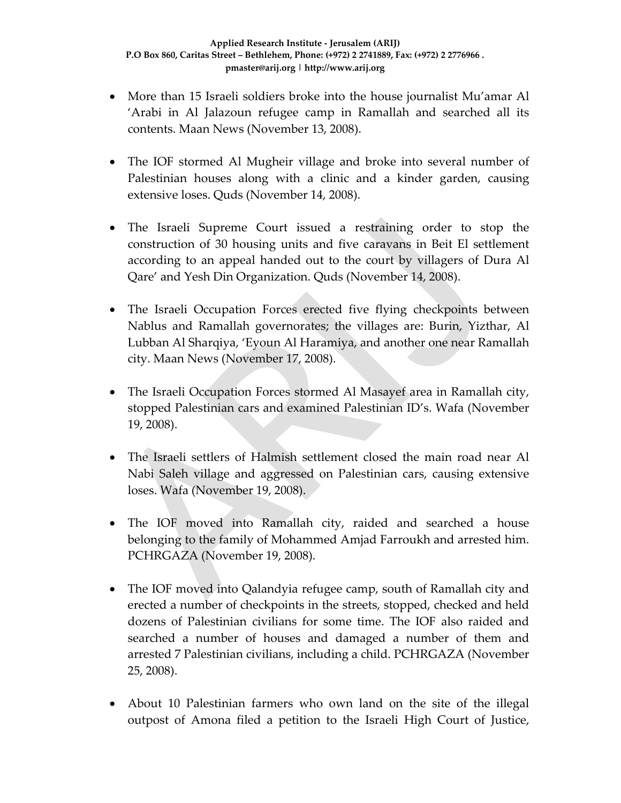- More than 15 Israeli soldiers broke into the house journalist Mu'amar Al 'Arabi in Al Jalazoun refugee camp in Ramallah and searched all its contents. Maan News (November 13, 2008).
- The IOF stormed Al Mugheir village and broke into several number of Palestinian houses along with a clinic and a kinder garden, causing extensive loses. Quds (November 14, 2008).
- The Israeli Supreme Court issued a restraining order to stop the construction of 30 housing units and five caravans in Beit El settlement according to an appeal handed out to the court by villagers of Dura Al Qare' and Yesh Din Organization. Quds (November 14, 2008).
- The Israeli Occupation Forces erected five flying checkpoints between Nablus and Ramallah governorates; the villages are: Burin, Yizthar, Al Lubban Al Sharqiya, 'Eyoun Al Haramiya, and another one near Ramallah city. Maan News (November 17, 2008).
- The Israeli Occupation Forces stormed Al Masayef area in Ramallah city, stopped Palestinian cars and examined Palestinian ID's. Wafa (November 19, 2008).
- The Israeli settlers of Halmish settlement closed the main road near Al Nabi Saleh village and aggressed on Palestinian cars, causing extensive loses. Wafa (November 19, 2008).
- The IOF moved into Ramallah city, raided and searched a house belonging to the family of Mohammed Amjad Farroukh and arrested him. PCHRGAZA (November 19, 2008).
- The IOF moved into Qalandyia refugee camp, south of Ramallah city and erected a number of checkpoints in the streets, stopped, checked and held dozens of Palestinian civilians for some time. The IOF also raided and searched a number of houses and damaged a number of them and arrested 7 Palestinian civilians, including a child. PCHRGAZA (November 25, 2008).
- About 10 Palestinian farmers who own land on the site of the illegal outpost of Amona filed a petition to the Israeli High Court of Justice,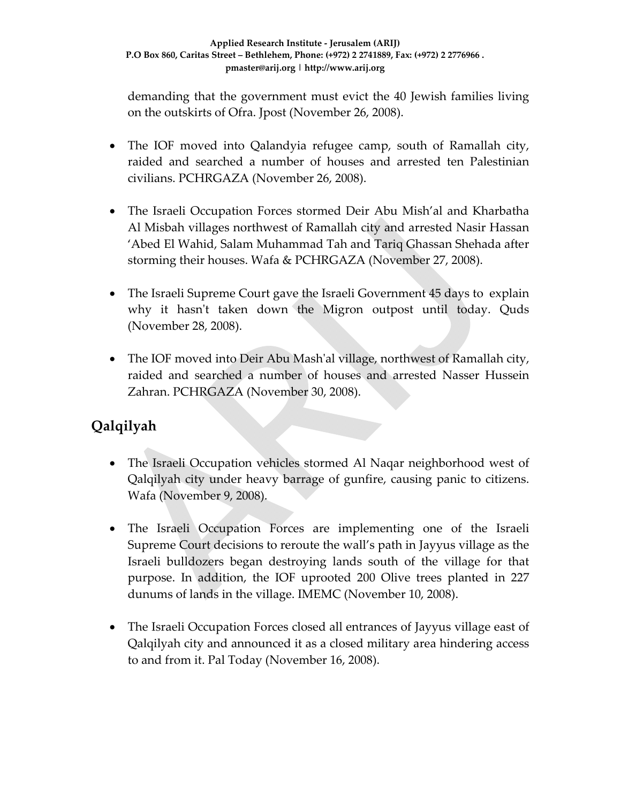demanding that the government must evict the 40 Jewish families living on the outskirts of Ofra. Jpost (November 26, 2008).

- The IOF moved into Qalandyia refugee camp, south of Ramallah city, raided and searched a number of houses and arrested ten Palestinian civilians. PCHRGAZA (November 26, 2008).
- The Israeli Occupation Forces stormed Deir Abu Mish'al and Kharbatha Al Misbah villages northwest of Ramallah city and arrested Nasir Hassan 'Abed El Wahid, Salam Muhammad Tah and Tariq Ghassan Shehada after storming their houses. Wafa & PCHRGAZA (November 27, 2008).
- The Israeli Supreme Court gave the Israeli Government 45 days to explain why it hasn't taken down the Migron outpost until today. Quds (November 28, 2008).
- The IOF moved into Deir Abu Mash'al village, northwest of Ramallah city, raided and searched a number of houses and arrested Nasser Hussein Zahran. PCHRGAZA (November 30, 2008).

# **Qalqilyah**

- The Israeli Occupation vehicles stormed Al Naqar neighborhood west of Qalqilyah city under heavy barrage of gunfire, causing panic to citizens. Wafa (November 9, 2008).
- The Israeli Occupation Forces are implementing one of the Israeli Supreme Court decisions to reroute the wall's path in Jayyus village as the Israeli bulldozers began destroying lands south of the village for that purpose. In addition, the IOF uprooted 200 Olive trees planted in 227 dunums of lands in the village. IMEMC (November 10, 2008).
- The Israeli Occupation Forces closed all entrances of Jayyus village east of Qalqilyah city and announced it as a closed military area hindering access to and from it. Pal Today (November 16, 2008).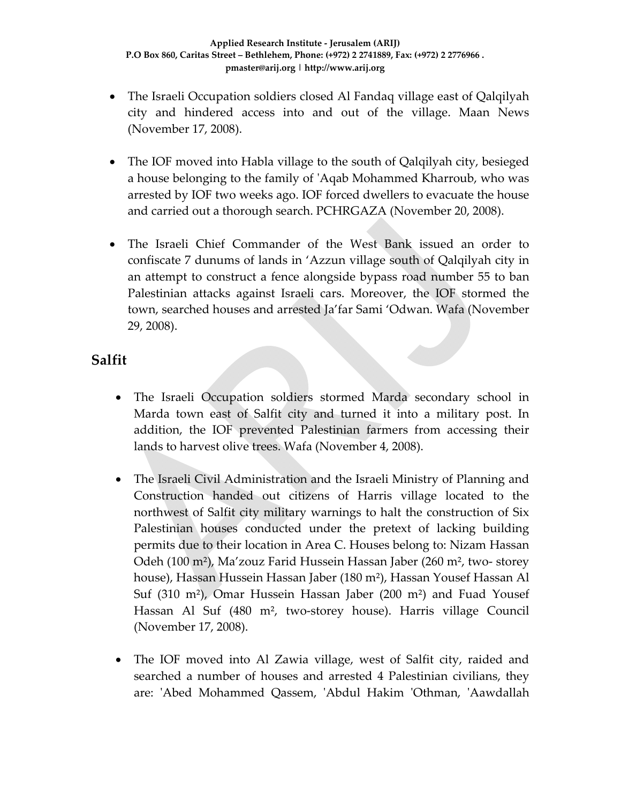- The Israeli Occupation soldiers closed Al Fandaq village east of Qalqilyah city and hindered access into and out of the village. Maan News (November 17, 2008).
- The IOF moved into Habla village to the south of Qalqilyah city, besieged a house belonging to the family of ʹAqab Mohammed Kharroub, who was arrested by IOF two weeks ago. IOF forced dwellers to evacuate the house and carried out a thorough search. PCHRGAZA (November 20, 2008).
- The Israeli Chief Commander of the West Bank issued an order to confiscate 7 dunums of lands in 'Azzun village south of Qalqilyah city in an attempt to construct a fence alongside bypass road number 55 to ban Palestinian attacks against Israeli cars. Moreover, the IOF stormed the town, searched houses and arrested Ja'far Sami 'Odwan. Wafa (November 29, 2008).

### **Salfit**

- The Israeli Occupation soldiers stormed Marda secondary school in Marda town east of Salfit city and turned it into a military post. In addition, the IOF prevented Palestinian farmers from accessing their lands to harvest olive trees. Wafa (November 4, 2008).
- The Israeli Civil Administration and the Israeli Ministry of Planning and Construction handed out citizens of Harris village located to the northwest of Salfit city military warnings to halt the construction of Six Palestinian houses conducted under the pretext of lacking building permits due to their location in Area C. Houses belong to: Nizam Hassan Odeh (100 m²), Ma'zouz Farid Hussein Hassan Jaber (260 m², two‐ storey house), Hassan Hussein Hassan Jaber (180 m²), Hassan Yousef Hassan Al Suf (310 m²), Omar Hussein Hassan Jaber (200 m²) and Fuad Yousef Hassan Al Suf (480 m<sup>2</sup>, two-storey house). Harris village Council (November 17, 2008).
- The IOF moved into Al Zawia village, west of Salfit city, raided and searched a number of houses and arrested 4 Palestinian civilians, they are: ʹAbed Mohammed Qassem, ʹAbdul Hakim ʹOthman, ʹAawdallah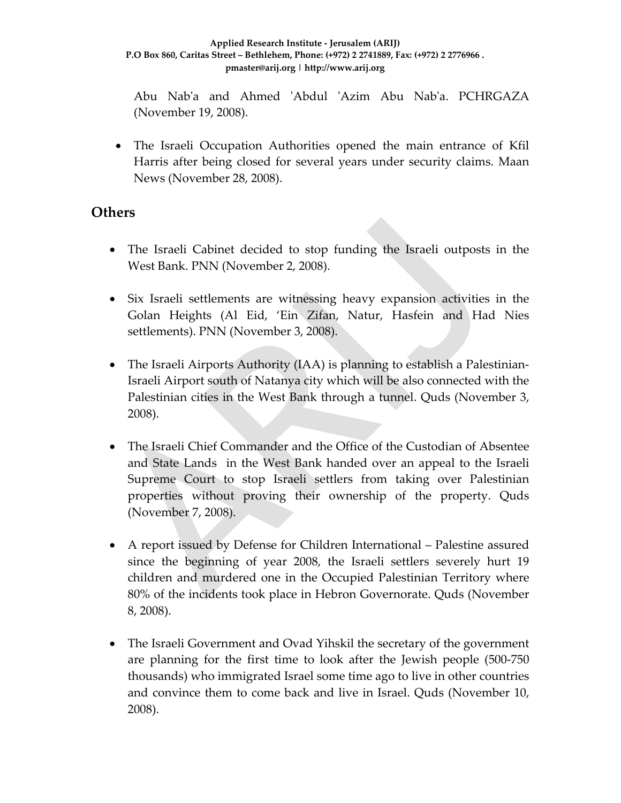#### **Applied Research Institute ‐ Jerusalem (ARIJ) P.O Box 860, Caritas Street – Bethlehem, Phone: (+972) 2 2741889, Fax: (+972) 2 2776966 . pmaster@arij.org | http://www.arij.org**

Abu Nab'a and Ahmed 'Abdul 'Azim Abu Nab'a. PCHRGAZA (November 19, 2008).

• The Israeli Occupation Authorities opened the main entrance of Kfil Harris after being closed for several years under security claims. Maan News (November 28, 2008).

#### **Others**

- The Israeli Cabinet decided to stop funding the Israeli outposts in the West Bank. PNN (November 2, 2008).
- Six Israeli settlements are witnessing heavy expansion activities in the Golan Heights (Al Eid, 'Ein Zifan, Natur, Hasfein and Had Nies settlements). PNN (November 3, 2008).
- The Israeli Airports Authority (IAA) is planning to establish a Palestinian-Israeli Airport south of Natanya city which will be also connected with the Palestinian cities in the West Bank through a tunnel. Quds (November 3, 2008).
- The Israeli Chief Commander and the Office of the Custodian of Absentee and State Lands in the West Bank handed over an appeal to the Israeli Supreme Court to stop Israeli settlers from taking over Palestinian properties without proving their ownership of the property. Quds (November 7, 2008).
- A report issued by Defense for Children International Palestine assured since the beginning of year 2008, the Israeli settlers severely hurt 19 children and murdered one in the Occupied Palestinian Territory where 80% of the incidents took place in Hebron Governorate. Quds (November 8, 2008).
- The Israeli Government and Ovad Yihskil the secretary of the government are planning for the first time to look after the Jewish people (500‐750 thousands) who immigrated Israel some time ago to live in other countries and convince them to come back and live in Israel. Quds (November 10, 2008).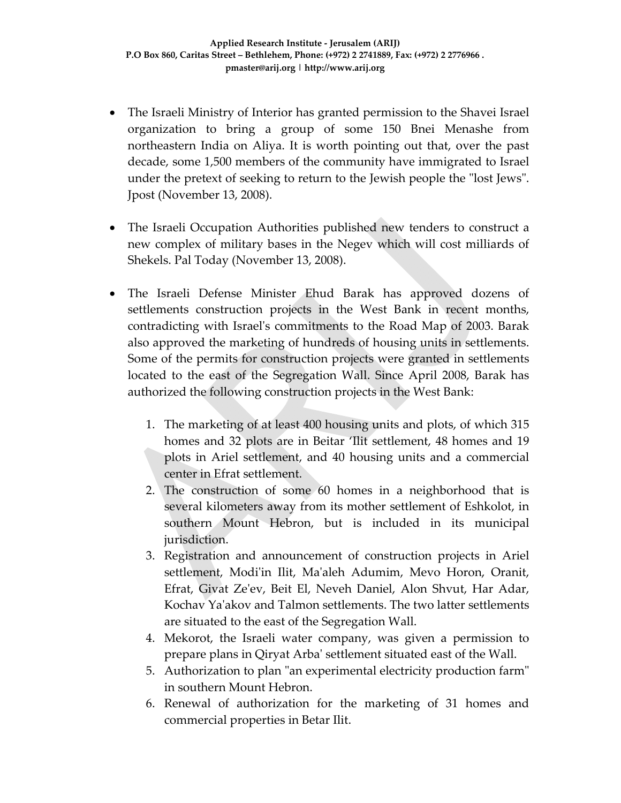- The Israeli Ministry of Interior has granted permission to the Shavei Israel organization to bring a group of some 150 Bnei Menashe from northeastern India on Aliya. It is worth pointing out that, over the past decade, some 1,500 members of the community have immigrated to Israel under the pretext of seeking to return to the Jewish people the "lost Jews". Jpost (November 13, 2008).
- The Israeli Occupation Authorities published new tenders to construct a new complex of military bases in the Negev which will cost milliards of Shekels. Pal Today (November 13, 2008).
- The Israeli Defense Minister Ehud Barak has approved dozens of settlements construction projects in the West Bank in recent months, contradicting with Israelʹs commitments to the Road Map of 2003. Barak also approved the marketing of hundreds of housing units in settlements. Some of the permits for construction projects were granted in settlements located to the east of the Segregation Wall. Since April 2008, Barak has authorized the following construction projects in the West Bank:
	- 1. The marketing of at least 400 housing units and plots, of which 315 homes and 32 plots are in Beitar 'Ilit settlement, 48 homes and 19 plots in Ariel settlement, and 40 housing units and a commercial center in Efrat settlement.
	- 2. The construction of some 60 homes in a neighborhood that is several kilometers away from its mother settlement of Eshkolot, in southern Mount Hebron, but is included in its municipal jurisdiction.
	- 3. Registration and announcement of construction projects in Ariel settlement, Modi'in Ilit, Ma'aleh Adumim, Mevo Horon, Oranit, Efrat, Givat Zeʹev, Beit El, Neveh Daniel, Alon Shvut, Har Adar, Kochav Yaʹakov and Talmon settlements. The two latter settlements are situated to the east of the Segregation Wall.
	- 4. Mekorot, the Israeli water company, was given a permission to prepare plans in Qiryat Arbaʹ settlement situated east of the Wall.
	- 5. Authorization to plan "an experimental electricity production farm" in southern Mount Hebron.
	- 6. Renewal of authorization for the marketing of 31 homes and commercial properties in Betar Ilit.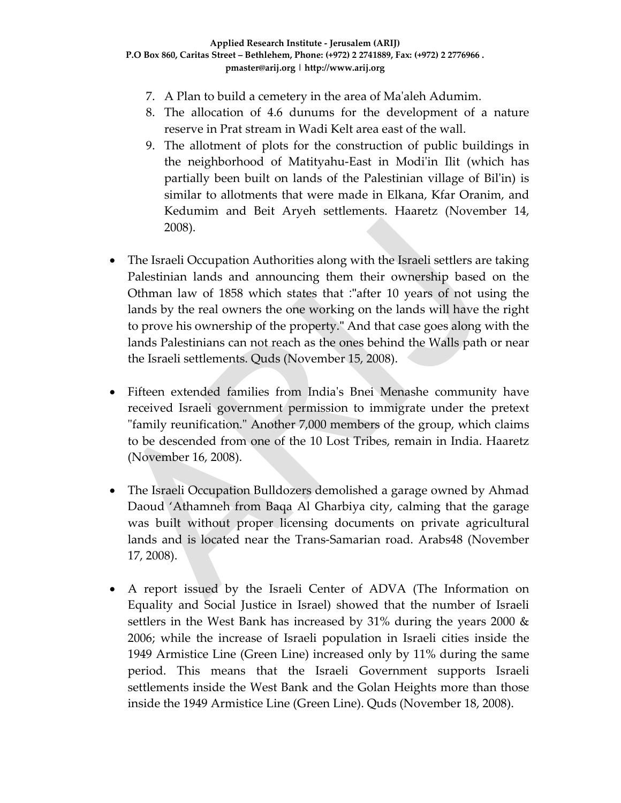- 7. A Plan to build a cemetery in the area of Maʹaleh Adumim.
- 8. The allocation of 4.6 dunums for the development of a nature reserve in Prat stream in Wadi Kelt area east of the wall.
- 9. The allotment of plots for the construction of public buildings in the neighborhood of Matityahu‐East in Modiʹin Ilit (which has partially been built on lands of the Palestinian village of Bilʹin) is similar to allotments that were made in Elkana, Kfar Oranim, and Kedumim and Beit Aryeh settlements. Haaretz (November 14, 2008).
- The Israeli Occupation Authorities along with the Israeli settlers are taking Palestinian lands and announcing them their ownership based on the Othman law of 1858 which states that :"after 10 years of not using the lands by the real owners the one working on the lands will have the right to prove his ownership of the property." And that case goes along with the lands Palestinians can not reach as the ones behind the Walls path or near the Israeli settlements. Quds (November 15, 2008).
- Fifteen extended families from Indiaʹs Bnei Menashe community have received Israeli government permission to immigrate under the pretext "family reunification." Another 7,000 members of the group, which claims to be descended from one of the 10 Lost Tribes, remain in India. Haaretz (November 16, 2008).
- The Israeli Occupation Bulldozers demolished a garage owned by Ahmad Daoud 'Athamneh from Baqa Al Gharbiya city, calming that the garage was built without proper licensing documents on private agricultural lands and is located near the Trans‐Samarian road. Arabs48 (November 17, 2008).
- A report issued by the Israeli Center of ADVA (The Information on Equality and Social Justice in Israel) showed that the number of Israeli settlers in the West Bank has increased by 31% during the years 2000  $\&$ 2006; while the increase of Israeli population in Israeli cities inside the 1949 Armistice Line (Green Line) increased only by 11% during the same period. This means that the Israeli Government supports Israeli settlements inside the West Bank and the Golan Heights more than those inside the 1949 Armistice Line (Green Line). Quds (November 18, 2008).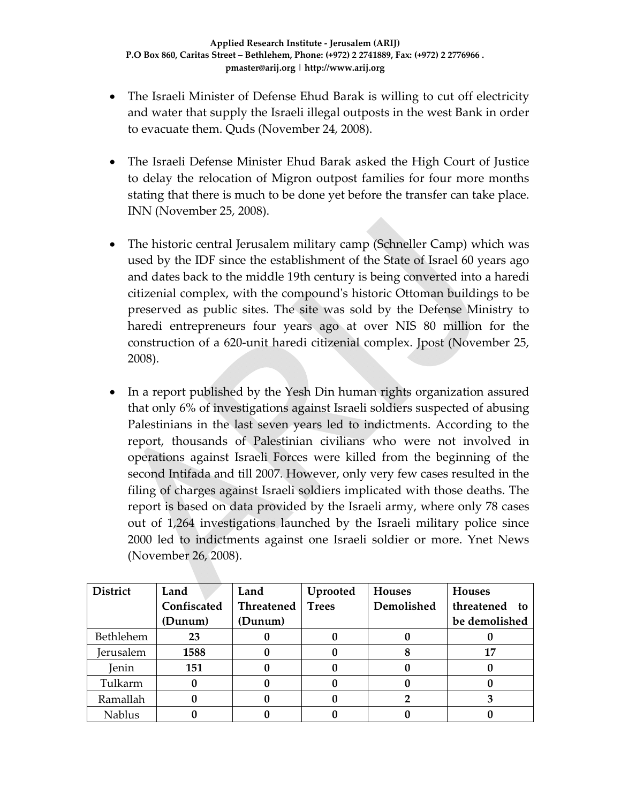- The Israeli Minister of Defense Ehud Barak is willing to cut off electricity and water that supply the Israeli illegal outposts in the west Bank in order to evacuate them. Quds (November 24, 2008).
- The Israeli Defense Minister Ehud Barak asked the High Court of Justice to delay the relocation of Migron outpost families for four more months stating that there is much to be done yet before the transfer can take place. INN (November 25, 2008).
- The historic central Jerusalem military camp (Schneller Camp) which was used by the IDF since the establishment of the State of Israel 60 years ago and dates back to the middle 19th century is being converted into a haredi citizenial complex, with the compoundʹs historic Ottoman buildings to be preserved as public sites. The site was sold by the Defense Ministry to haredi entrepreneurs four years ago at over NIS 80 million for the construction of a 620‐unit haredi citizenial complex. Jpost (November 25, 2008).
- In a report published by the Yesh Din human rights organization assured that only 6% of investigations against Israeli soldiers suspected of abusing Palestinians in the last seven years led to indictments. According to the report, thousands of Palestinian civilians who were not involved in operations against Israeli Forces were killed from the beginning of the second Intifada and till 2007. However, only very few cases resulted in the filing of charges against Israeli soldiers implicated with those deaths. The report is based on data provided by the Israeli army, where only 78 cases out of 1,264 investigations launched by the Israeli military police since 2000 led to indictments against one Israeli soldier or more. Ynet News (November 26, 2008).

| <b>District</b>  | Land        | Land       | Uprooted     | <b>Houses</b> | <b>Houses</b> |
|------------------|-------------|------------|--------------|---------------|---------------|
|                  | Confiscated | Threatened | <b>Trees</b> | Demolished    | threatened to |
|                  | (Dunum)     | (Dunum)    |              |               | be demolished |
| Bethlehem        | 23          |            |              |               |               |
| <b>Jerusalem</b> | 1588        |            |              |               | 17            |
| Jenin            | 151         |            |              |               |               |
| Tulkarm          |             |            |              |               |               |
| Ramallah         |             |            |              |               |               |
| <b>Nablus</b>    |             |            |              |               |               |